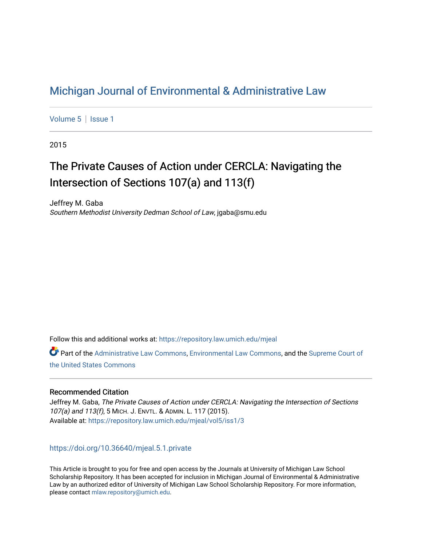## [Michigan Journal of Environmental & Administrative Law](https://repository.law.umich.edu/mjeal)

[Volume 5](https://repository.law.umich.edu/mjeal/vol5) | Issue 1

2015

# The Private Causes of Action under CERCLA: Navigating the Intersection of Sections 107(a) and 113(f)

Jeffrey M. Gaba Southern Methodist University Dedman School of Law, jgaba@smu.edu

Follow this and additional works at: [https://repository.law.umich.edu/mjeal](https://repository.law.umich.edu/mjeal?utm_source=repository.law.umich.edu%2Fmjeal%2Fvol5%2Fiss1%2F3&utm_medium=PDF&utm_campaign=PDFCoverPages)

Part of the [Administrative Law Commons,](http://network.bepress.com/hgg/discipline/579?utm_source=repository.law.umich.edu%2Fmjeal%2Fvol5%2Fiss1%2F3&utm_medium=PDF&utm_campaign=PDFCoverPages) [Environmental Law Commons](http://network.bepress.com/hgg/discipline/599?utm_source=repository.law.umich.edu%2Fmjeal%2Fvol5%2Fiss1%2F3&utm_medium=PDF&utm_campaign=PDFCoverPages), and the [Supreme Court of](http://network.bepress.com/hgg/discipline/1350?utm_source=repository.law.umich.edu%2Fmjeal%2Fvol5%2Fiss1%2F3&utm_medium=PDF&utm_campaign=PDFCoverPages)  [the United States Commons](http://network.bepress.com/hgg/discipline/1350?utm_source=repository.law.umich.edu%2Fmjeal%2Fvol5%2Fiss1%2F3&utm_medium=PDF&utm_campaign=PDFCoverPages) 

#### Recommended Citation

Jeffrey M. Gaba, The Private Causes of Action under CERCLA: Navigating the Intersection of Sections 107(a) and 113(f), 5 MICH. J. ENVTL. & ADMIN. L. 117 (2015). Available at: [https://repository.law.umich.edu/mjeal/vol5/iss1/3](https://repository.law.umich.edu/mjeal/vol5/iss1/3?utm_source=repository.law.umich.edu%2Fmjeal%2Fvol5%2Fiss1%2F3&utm_medium=PDF&utm_campaign=PDFCoverPages)

### <https://doi.org/10.36640/mjeal.5.1.private>

This Article is brought to you for free and open access by the Journals at University of Michigan Law School Scholarship Repository. It has been accepted for inclusion in Michigan Journal of Environmental & Administrative Law by an authorized editor of University of Michigan Law School Scholarship Repository. For more information, please contact [mlaw.repository@umich.edu.](mailto:mlaw.repository@umich.edu)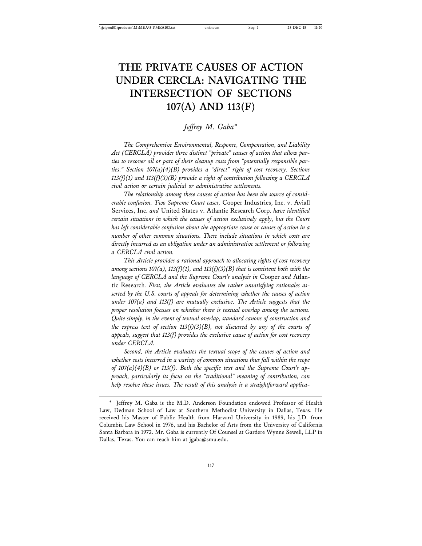## **THE PRIVATE CAUSES OF ACTION UNDER CERCLA: NAVIGATING THE INTERSECTION OF SECTIONS 107(A) AND 113(F)**

*Jeffrey M. Gaba\**

*The Comprehensive Environmental, Response, Compensation, and Liability Act (CERCLA) provides three distinct "private" causes of action that allow parties to recover all or part of their cleanup costs from "potentially responsible parties." Section 107(a)(4)(B) provides a "direct" right of cost recovery. Sections 113(f)(1) and 113(f)(3)(B) provide a right of contribution following a CERCLA civil action or certain judicial or administrative settlements.*

*The relationship among these causes of action has been the source of considerable confusion. Two Supreme Court cases,* Cooper Industries, Inc. v. Aviall Services, Inc. *and* United States v. Atlantic Research Corp. *have identified certain situations in which the causes of action exclusively apply, but the Court has left considerable confusion about the appropriate cause or causes of action in a number of other common situations. These include situations in which costs are directly incurred as an obligation under an administrative settlement or following a CERCLA civil action.*

*This Article provides a rational approach to allocating rights of cost recovery among sections 107(a), 113(f)(1), and 113(f)(3)(B) that is consistent both with the language of CERCLA and the Supreme Court's analysis in* Cooper *and* Atlantic Research*. First, the Article evaluates the rather unsatisfying rationales asserted by the U.S. courts of appeals for determining whether the causes of action under 107(a) and 113(f) are mutually exclusive. The Article suggests that the proper resolution focuses on whether there is textual overlap among the sections. Quite simply, in the event of textual overlap, standard canons of construction and the express text of section 113(f)(3)(B), not discussed by any of the courts of appeals, suggest that 113(f) provides the exclusive cause of action for cost recovery under CERCLA.*

*Second, the Article evaluates the textual scope of the causes of action and whether costs incurred in a variety of common situations thus fall within the scope of 107(a)(4)(B) or 113(f). Both the specific text and the Supreme Court's approach, particularly its focus on the "traditional" meaning of contribution, can help resolve these issues. The result of this analysis is a straightforward applica-*

<sup>\*</sup> Jeffrey M. Gaba is the M.D. Anderson Foundation endowed Professor of Health Law, Dedman School of Law at Southern Methodist University in Dallas, Texas. He received his Master of Public Health from Harvard University in 1989, his J.D. from Columbia Law School in 1976, and his Bachelor of Arts from the University of California Santa Barbara in 1972. Mr. Gaba is currently Of Counsel at Gardere Wynne Sewell, LLP in Dallas, Texas. You can reach him at jgaba@smu.edu.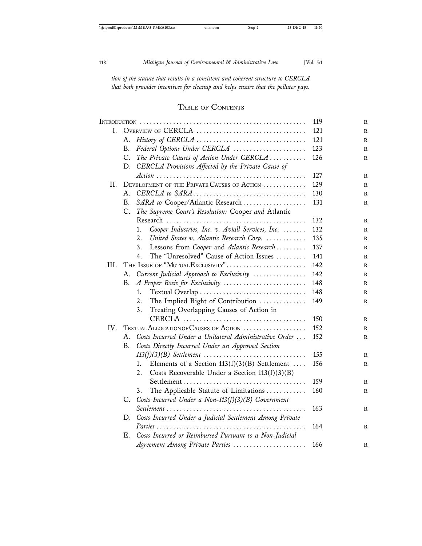*tion of the statute that results in a consistent and coherent structure to CERCLA that both provides incentives for cleanup and helps ensure that the polluter pays.*

## TABLE OF CONTENTS

|      |    |                                                             | 119 |
|------|----|-------------------------------------------------------------|-----|
| L.   |    | OVERVIEW OF CERCLA                                          | 121 |
|      | А. |                                                             | 121 |
|      | B. | Federal Options Under CERCLA                                | 123 |
|      | C. | The Private Causes of Action Under CERCLA                   | 126 |
|      | D. | CERCLA Provisions Affected by the Private Cause of          |     |
|      |    |                                                             | 127 |
| II.  |    | DEVELOPMENT OF THE PRIVATE CAUSES OF ACTION                 | 129 |
|      | А. |                                                             | 130 |
|      | В. | SARA to Cooper/Atlantic Research                            | 131 |
|      |    | C. The Supreme Court's Resolution: Cooper and Atlantic      |     |
|      |    |                                                             | 132 |
|      |    | Cooper Industries, Inc. v. Aviall Services, Inc.<br>1.      | 132 |
|      |    | United States v. Atlantic Research Corp.<br>2.              | 135 |
|      |    | Lessons from Cooper and Atlantic Research<br>3.             | 137 |
|      |    | The "Unresolved" Cause of Action Issues<br>4.               | 141 |
| III. |    | THE ISSUE OF "MUTUAL EXCLUSIVITY"                           | 142 |
|      | А. | Current Judicial Approach to Exclusivity                    | 142 |
|      | В. | A Proper Basis for Exclusivity                              | 148 |
|      |    | Textual Overlap<br>1.                                       | 148 |
|      |    | The Implied Right of Contribution<br>2.                     | 149 |
|      |    | Treating Overlapping Causes of Action in<br>3.              |     |
|      |    |                                                             | 150 |
| IV.  |    | TEXTUAL ALLOCATION OF CAUSES OF ACTION                      | 152 |
|      | А. | Costs Incurred Under a Unilateral Administrative Order      | 152 |
|      | В. | Costs Directly Incurred Under an Approved Section           |     |
|      |    | $113(f)(3)(B)$ Settlement                                   | 155 |
|      |    | Elements of a Section $113(f)(3)(B)$ Settlement<br>1.       | 156 |
|      |    | 2.<br>Costs Recoverable Under a Section $113(f)(3)(B)$      |     |
|      |    |                                                             | 159 |
|      |    | The Applicable Statute of Limitations<br>3.                 | 160 |
|      |    | C. Costs Incurred Under a Non-113(f)(3)(B) Government       |     |
|      |    |                                                             | 163 |
|      |    | D. Costs Incurred Under a Judicial Settlement Among Private |     |
|      |    |                                                             | 164 |
|      | Е. | Costs Incurred or Reimbursed Pursuant to a Non-Judicial     |     |
|      |    | Agreement Among Private Parties                             | 166 |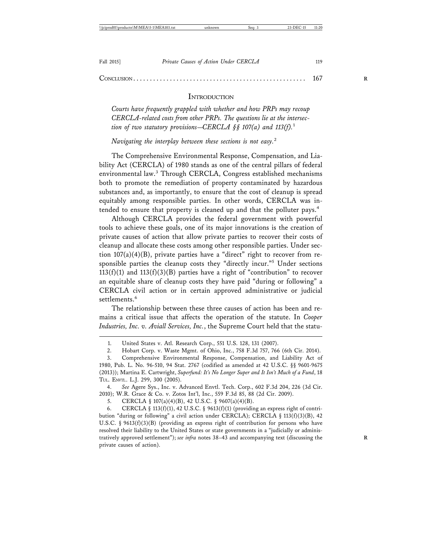#### CONCLUSION . . . . . . . . . . . . . . . . . . . . . . . . . . . . . . . . . . . . . . . . . . . . . . . . . . . . 167 **R**

#### **INTRODUCTION**

*Courts have frequently grappled with whether and how PRPs may recoup CERCLA-related costs from other PRPs. The questions lie at the intersection of two statutory provisions—CERCLA §§ 107(a) and 113(f).*<sup>1</sup>

*Navigating the interplay between these sections is not easy.*<sup>2</sup>

The Comprehensive Environmental Response, Compensation, and Liability Act (CERCLA) of 1980 stands as one of the central pillars of federal environmental law.<sup>3</sup> Through CERCLA, Congress established mechanisms both to promote the remediation of property contaminated by hazardous substances and, as importantly, to ensure that the cost of cleanup is spread equitably among responsible parties. In other words, CERCLA was intended to ensure that property is cleaned up and that the polluter pays.<sup>4</sup>

Although CERCLA provides the federal government with powerful tools to achieve these goals, one of its major innovations is the creation of private causes of action that allow private parties to recover their costs of cleanup and allocate these costs among other responsible parties. Under section  $107(a)(4)(B)$ , private parties have a "direct" right to recover from responsible parties the cleanup costs they "directly incur."<sup>5</sup> Under sections  $113(f)(1)$  and  $113(f)(3)(B)$  parties have a right of "contribution" to recover an equitable share of cleanup costs they have paid "during or following" a CERCLA civil action or in certain approved administrative or judicial settlements.<sup>6</sup>

The relationship between these three causes of action has been and remains a critical issue that affects the operation of the statute. In *Cooper Industries, Inc. v. Aviall Services, Inc.*, the Supreme Court held that the statu-

4. *See* Agere Sys., Inc. v. Advanced Envtl. Tech. Corp., 602 F.3d 204, 226 (3d Cir. 2010); W.R. Grace & Co. v. Zotos Int'l, Inc., 559 F.3d 85, 88 (2d Cir. 2009).

5. CERCLA § 107(a)(4)(B), 42 U.S.C. § 9607(a)(4)(B).

6. CERCLA § 113(f)(1), 42 U.S.C. § 9613(f)(1) (providing an express right of contribution "during or following" a civil action under CERCLA); CERCLA  $\S$  113(f)(3)(B), 42 U.S.C. § 9613(f)(3)(B) (providing an express right of contribution for persons who have resolved their liability to the United States or state governments in a "judicially or administratively approved settlement"); *see infra* notes 38–43 and accompanying text (discussing the **R** private causes of action).

<sup>1.</sup> United States v. Atl. Research Corp., 551 U.S. 128, 131 (2007).

<sup>2.</sup> Hobart Corp. v. Waste Mgmt. of Ohio, Inc., 758 F.3d 757, 766 (6th Cir. 2014).

<sup>3.</sup> Comprehensive Environmental Response, Compensation, and Liability Act of 1980, Pub. L. No. 96-510, 94 Stat. 2767 (codified as amended at 42 U.S.C. §§ 9601-9675 (2013)); Martina E. Cartwright, *Superfund: It's No Longer Super and It Isn't Much of a Fund*, 18 TUL. ENVTL. L.J. 299, 300 (2005).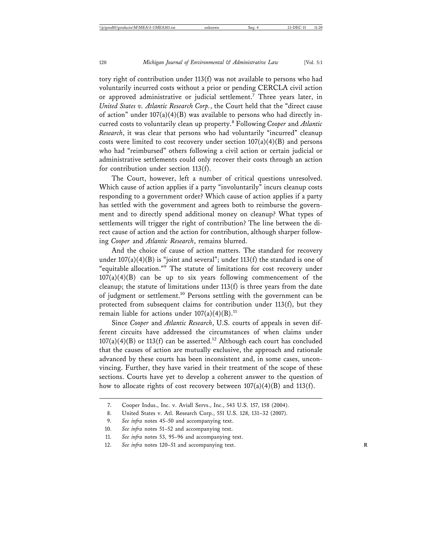tory right of contribution under 113(f) was not available to persons who had voluntarily incurred costs without a prior or pending CERCLA civil action or approved administrative or judicial settlement.<sup>7</sup> Three years later, in *United States v. Atlantic Research Corp.*, the Court held that the "direct cause of action" under  $107(a)(4)(B)$  was available to persons who had directly incurred costs to voluntarily clean up property.<sup>8</sup> Following *Cooper* and *Atlantic Research*, it was clear that persons who had voluntarily "incurred" cleanup costs were limited to cost recovery under section  $107(a)(4)(B)$  and persons who had "reimbursed" others following a civil action or certain judicial or administrative settlements could only recover their costs through an action for contribution under section 113(f).

The Court, however, left a number of critical questions unresolved. Which cause of action applies if a party "involuntarily" incurs cleanup costs responding to a government order? Which cause of action applies if a party has settled with the government and agrees both to reimburse the government and to directly spend additional money on cleanup? What types of settlements will trigger the right of contribution? The line between the direct cause of action and the action for contribution, although sharper following *Cooper* and *Atlantic Research*, remains blurred.

And the choice of cause of action matters. The standard for recovery under  $107(a)(4)(B)$  is "joint and several"; under  $113(f)$  the standard is one of "equitable allocation."9 The statute of limitations for cost recovery under  $107(a)(4)(B)$  can be up to six years following commencement of the cleanup; the statute of limitations under  $113(f)$  is three years from the date of judgment or settlement.10 Persons settling with the government can be protected from subsequent claims for contribution under 113(f), but they remain liable for actions under  $107(a)(4)(B).<sup>11</sup>$ 

Since *Cooper* and *Atlantic Research*, U.S. courts of appeals in seven different circuits have addressed the circumstances of when claims under  $107(a)(4)(B)$  or  $113(f)$  can be asserted.<sup>12</sup> Although each court has concluded that the causes of action are mutually exclusive, the approach and rationale advanced by these courts has been inconsistent and, in some cases, unconvincing. Further, they have varied in their treatment of the scope of these sections. Courts have yet to develop a coherent answer to the question of how to allocate rights of cost recovery between  $107(a)(4)(B)$  and  $113(f)$ .

<sup>7.</sup> Cooper Indus., Inc. v. Aviall Servs., Inc., 543 U.S. 157, 158 (2004).

<sup>8.</sup> United States v. Atl. Research Corp., 551 U.S. 128, 131–32 (2007).

<sup>9.</sup> *See infra* notes 45–50 and accompanying text.

<sup>10.</sup> *See infra* notes 51–52 and accompanying text.

<sup>11.</sup> *See infra* notes 53, 95–96 and accompanying text.

<sup>12.</sup> See infra notes 120-51 and accompanying text.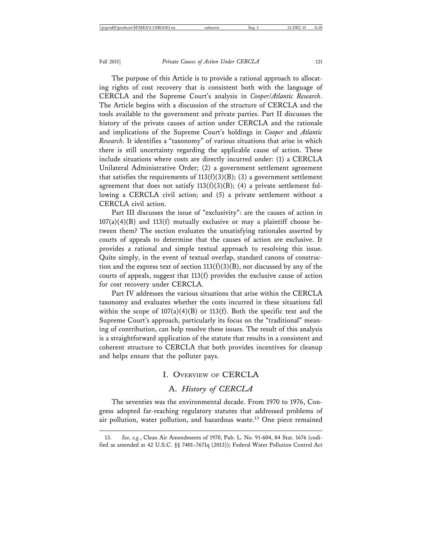The purpose of this Article is to provide a rational approach to allocating rights of cost recovery that is consistent both with the language of CERCLA and the Supreme Court's analysis in *Cooper*/*Atlantic Research*. The Article begins with a discussion of the structure of CERCLA and the tools available to the government and private parties. Part II discusses the history of the private causes of action under CERCLA and the rationale and implications of the Supreme Court's holdings in *Cooper* and *Atlantic Research*. It identifies a "taxonomy" of various situations that arise in which there is still uncertainty regarding the applicable cause of action. These include situations where costs are directly incurred under: (1) a CERCLA Unilateral Administrative Order; (2) a government settlement agreement that satisfies the requirements of  $113(f)(3)(B)$ ; (3) a government settlement agreement that does not satisfy  $113(f)(3)(B)$ ; (4) a private settlement following a CERCLA civil action; and (5) a private settlement without a CERCLA civil action.

Part III discusses the issue of "exclusivity": are the causes of action in  $107(a)(4)(B)$  and  $113(f)$  mutually exclusive or may a plaintiff choose between them? The section evaluates the unsatisfying rationales asserted by courts of appeals to determine that the causes of action are exclusive. It provides a rational and simple textual approach to resolving this issue. Quite simply, in the event of textual overlap, standard canons of construction and the express text of section  $113(f)(3)(B)$ , not discussed by any of the courts of appeals, suggest that 113(f) provides the exclusive cause of action for cost recovery under CERCLA.

Part IV addresses the various situations that arise within the CERCLA taxonomy and evaluates whether the costs incurred in these situations fall within the scope of  $107(a)(4)(B)$  or  $113(f)$ . Both the specific text and the Supreme Court's approach, particularly its focus on the "traditional" meaning of contribution, can help resolve these issues. The result of this analysis is a straightforward application of the statute that results in a consistent and coherent structure to CERCLA that both provides incentives for cleanup and helps ensure that the polluter pays.

#### I. OVERVIEW OF CERCLA

### A. *History of CERCLA*

The seventies was the environmental decade. From 1970 to 1976, Congress adopted far-reaching regulatory statutes that addressed problems of air pollution, water pollution, and hazardous waste.<sup>13</sup> One piece remained

<sup>13.</sup> *See, e.g.*, Clean Air Amendments of 1970, Pub. L. No. 91-604, 84 Stat. 1676 (codified as amended at 42 U.S.C. §§ 7401–7671q (2013)); Federal Water Pollution Control Act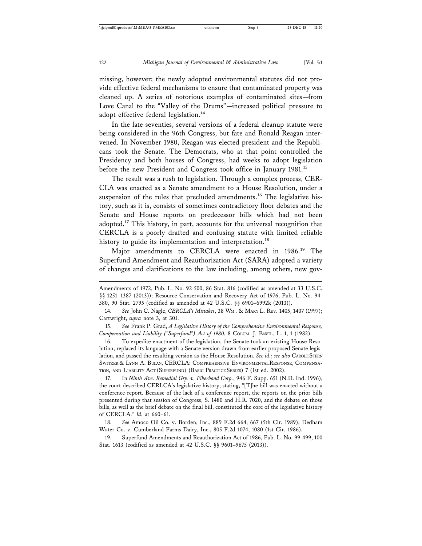missing, however; the newly adopted environmental statutes did not provide effective federal mechanisms to ensure that contaminated property was cleaned up. A series of notorious examples of contaminated sites—from Love Canal to the "Valley of the Drums"—increased political pressure to adopt effective federal legislation.<sup>14</sup>

In the late seventies, several versions of a federal cleanup statute were being considered in the 96th Congress, but fate and Ronald Reagan intervened. In November 1980, Reagan was elected president and the Republicans took the Senate. The Democrats, who at that point controlled the Presidency and both houses of Congress, had weeks to adopt legislation before the new President and Congress took office in January 1981.<sup>15</sup>

The result was a rush to legislation. Through a complex process, CER-CLA was enacted as a Senate amendment to a House Resolution, under a suspension of the rules that precluded amendments.<sup>16</sup> The legislative history, such as it is, consists of sometimes contradictory floor debates and the Senate and House reports on predecessor bills which had not been adopted.<sup>17</sup> This history, in part, accounts for the universal recognition that CERCLA is a poorly drafted and confusing statute with limited reliable history to guide its implementation and interpretation.<sup>18</sup>

Major amendments to CERCLA were enacted in 1986.<sup>19</sup> The Superfund Amendment and Reauthorization Act (SARA) adopted a variety of changes and clarifications to the law including, among others, new gov-

15. *See* Frank P. Grad, *A Legislative History of the Comprehensive Environmental Response, Compensation and Liability ("Superfund") Act of 1980*, 8 COLUM. J. ENVTL. L. 1, 1 (1982).

16. To expedite enactment of the legislation, the Senate took an existing House Resolution, replaced its language with a Senate version drawn from earlier proposed Senate legislation, and passed the resulting version as the House Resolution. *See id.*; *see also* CAROLE STERN SWITZER & LYNN A. BULAN, CERCLA: COMPREHENSIVE ENVIRONMENTAL RESPONSE, COMPENSA-TION, AND LIABILITY ACT (SUPERFUND) (BASIC PRACTICE SERIES) 7 (1st ed. 2002).

17. In *Ninth Ave. Remedial Grp. v. Fiberbond Corp.*, 946 F. Supp. 651 (N.D. Ind. 1996), the court described CERLCA's legislative history, stating, "[T]he bill was enacted without a conference report. Because of the lack of a conference report, the reports on the prior bills presented during that session of Congress, S. 1480 and H.R. 7020, and the debate on those bills, as well as the brief debate on the final bill, constituted the core of the legislative history of CERCLA." *Id.* at 660–61.

18. *See* Amoco Oil Co. v. Borden, Inc., 889 F.2d 664, 667 (5th Cir. 1989); Dedham Water Co. v. Cumberland Farms Dairy, Inc., 805 F.2d 1074, 1080 (1st Cir. 1986).

19. Superfund Amendments and Reauthorization Act of 1986, Pub. L. No. 99-499, 100 Stat. 1613 (codified as amended at 42 U.S.C. §§ 9601–9675 (2013)).

Amendments of 1972, Pub. L. No. 92-500, 86 Stat. 816 (codified as amended at 33 U.S.C. §§ 1251–1387 (2013)); Resource Conservation and Recovery Act of 1976, Pub. L. No. 94- 580, 90 Stat. 2795 (codified as amended at 42 U.S.C. §§ 6901–6992k (2013)).

<sup>14.</sup> *See* John C. Nagle, *CERCLA's Mistakes*, 38 WM . & MARY L. REV. 1405, 1407 (1997); Cartwright, *supra* note 3, at 301.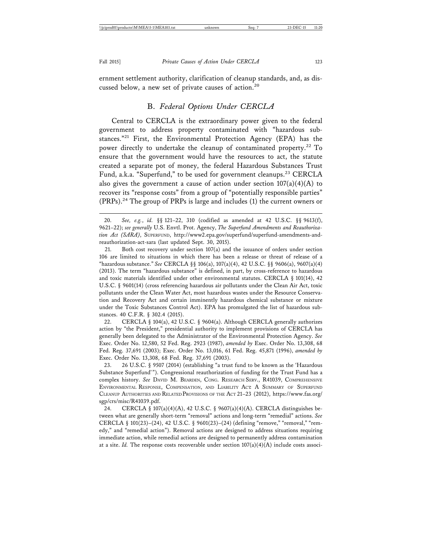ernment settlement authority, clarification of cleanup standards, and, as discussed below, a new set of private causes of action.<sup>20</sup>

#### B. *Federal Options Under CERCLA*

Central to CERCLA is the extraordinary power given to the federal government to address property contaminated with "hazardous substances."<sup>21</sup> First, the Environmental Protection Agency (EPA) has the power directly to undertake the cleanup of contaminated property.<sup>22</sup> To ensure that the government would have the resources to act, the statute created a separate pot of money, the federal Hazardous Substances Trust Fund, a.k.a. "Superfund," to be used for government cleanups.<sup>23</sup> CERCLA also gives the government a cause of action under section  $107(a)(4)(A)$  to recover its "response costs" from a group of "potentially responsible parties"  $(PRPs).<sup>24</sup>$  The group of PRPs is large and includes (1) the current owners or

22. CERCLA § 104(a), 42 U.S.C. § 9604(a). Although CERCLA generally authorizes action by "the President," presidential authority to implement provisions of CERCLA has generally been delegated to the Administrator of the Environmental Protection Agency. *See* Exec. Order No. 12,580, 52 Fed. Reg. 2923 (1987), *amended by* Exec. Order No. 13,308, 68 Fed. Reg. 37,691 (2003); Exec. Order No. 13,016, 61 Fed. Reg. 45,871 (1996), *amended by* Exec. Order No. 13,308, 68 Fed. Reg. 37,691 (2003).

23. 26 U.S.C. § 9507 (2014) (establishing "a trust fund to be known as the 'Hazardous Substance Superfund'"). Congressional reauthorization of funding for the Trust Fund has a complex history. *See* DAVID M. BEARDEN, CONG. RESEARCH SERV., R41039, COMPREHENSIVE ENVIRONMENTAL RESPONSE, COMPENSATION, AND LIABILITY ACT: A SUMMARY OF SUPERFUND CLEANUP AUTHORITIES AND RELATED PROVISIONS OF THE ACT 21–23 (2012), https://www.fas.org/ sgp/crs/misc/R41039.pdf.

24. CERCLA § 107(a)(4)(A), 42 U.S.C. § 9607(a)(4)(A). CERCLA distinguishes between what are generally short-term "removal" actions and long-term "remedial" actions. *See* CERCLA § 101(23)–(24), 42 U.S.C. § 9601(23)–(24) (defining "remove," "removal," "remedy," and "remedial action"). Removal actions are designed to address situations requiring immediate action, while remedial actions are designed to permanently address contamination at a site. *Id.* The response costs recoverable under section  $107(a)(4)(A)$  include costs associ-

<sup>20.</sup> *See, e.g.*, *id.* §§ 121–22, 310 (codified as amended at 42 U.S.C. §§ 9613(f), 9621–22); *see generally* U.S. Envtl. Prot. Agency, *The Superfund Amendments and Reauthorization Act (SARA)*, SUPERFUND, http://www2.epa.gov/superfund/superfund-amendments-andreauthorization-act-sara (last updated Sept. 30, 2015).

<sup>21.</sup> Both cost recovery under section 107(a) and the issuance of orders under section 106 are limited to situations in which there has been a release or threat of release of a "hazardous substance." *See* CERCLA §§ 106(a), 107(a)(4), 42 U.S.C. §§ 9606(a), 9607(a)(4) (2013). The term "hazardous substance" is defined, in part, by cross-reference to hazardous and toxic materials identified under other environmental statutes. CERCLA  $\S$  101(14), 42 U.S.C. § 9601(14) (cross referencing hazardous air pollutants under the Clean Air Act, toxic pollutants under the Clean Water Act, most hazardous wastes under the Resource Conservation and Recovery Act and certain imminently hazardous chemical substance or mixture under the Toxic Substances Control Act). EPA has promulgated the list of hazardous substances. 40 C.F.R. § 302.4 (2015).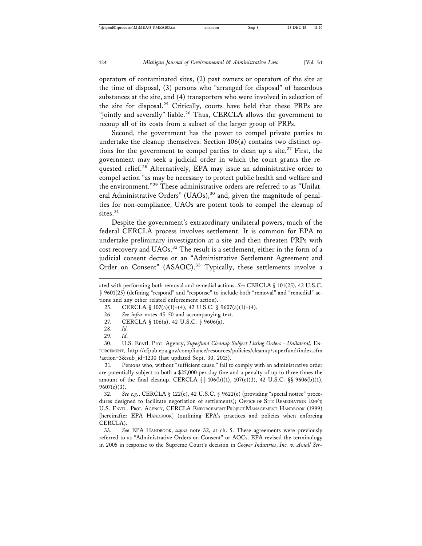operators of contaminated sites, (2) past owners or operators of the site at the time of disposal, (3) persons who "arranged for disposal" of hazardous substances at the site, and (4) transporters who were involved in selection of the site for disposal.<sup>25</sup> Critically, courts have held that these PRPs are "jointly and severally" liable.<sup>26</sup> Thus, CERCLA allows the government to recoup all of its costs from a subset of the larger group of PRPs.

Second, the government has the power to compel private parties to undertake the cleanup themselves. Section 106(a) contains two distinct options for the government to compel parties to clean up a site.<sup>27</sup> First, the government may seek a judicial order in which the court grants the requested relief.<sup>28</sup> Alternatively, EPA may issue an administrative order to compel action "as may be necessary to protect public health and welfare and the environment."29 These administrative orders are referred to as "Unilateral Administrative Orders" (UAOs),<sup>30</sup> and, given the magnitude of penalties for non-compliance, UAOs are potent tools to compel the cleanup of sites.<sup>31</sup>

Despite the government's extraordinary unilateral powers, much of the federal CERCLA process involves settlement. It is common for EPA to undertake preliminary investigation at a site and then threaten PRPs with cost recovery and UAOs.<sup>32</sup> The result is a settlement, either in the form of a judicial consent decree or an "Administrative Settlement Agreement and Order on Consent" (ASAOC).<sup>33</sup> Typically, these settlements involve a

31. Persons who, without "sufficient cause," fail to comply with an administrative order are potentially subject to both a \$25,000 per-day fine and a penalty of up to three times the amount of the final cleanup. CERCLA §§ 106(b)(1), 107(c)(3), 42 U.S.C. §§ 9606(b)(1),  $9607(c)(3)$ .

32. *See e.g.*, CERCLA § 122(e), 42 U.S.C. § 9622(e) (providing "special notice" procedures designed to facilitate negotiation of settlements); OFFICE OF SITE REMEDIATION ENF'T, U.S. ENVTL. PROT. AGENCY, CERCLA ENFORCEMENT PROJECT MANAGEMENT HANDBOOK (1999) [hereinafter EPA HANDBOOK] (outlining EPA's practices and policies when enforcing CERCLA).

33. *See* EPA HANDBOOK, *supra* note 32, at ch. 5. These agreements were previously referred to as "Administrative Orders on Consent" or AOCs. EPA revised the terminology in 2005 in response to the Supreme Court's decision in *Cooper Industries*, *Inc. v. Aviall Ser-*

ated with performing both removal and remedial actions. *See* CERCLA § 101(25), 42 U.S.C. § 9601(25) (defining "respond" and "response" to include both "removal" and "remedial" actions and any other related enforcement action).

<sup>25.</sup> CERCLA § 107(a)(1)–(4), 42 U.S.C. § 9607(a)(1)–(4).

<sup>26.</sup> *See infra* notes 45–50 and accompanying text.

<sup>27.</sup> CERCLA § 106(a), 42 U.S.C. § 9606(a).

<sup>28.</sup> *Id.*

<sup>29.</sup> *Id.*

<sup>30.</sup> U.S. Envtl. Prot. Agency, *Superfund Cleanup Subject Listing Orders - Unilateral*, EN-FORCEMENT, http://cfpub.epa.gov/compliance/resources/policies/cleanup/superfund/index.cfm ?action=3&sub\_id=1230 (last updated Sept. 30, 2015).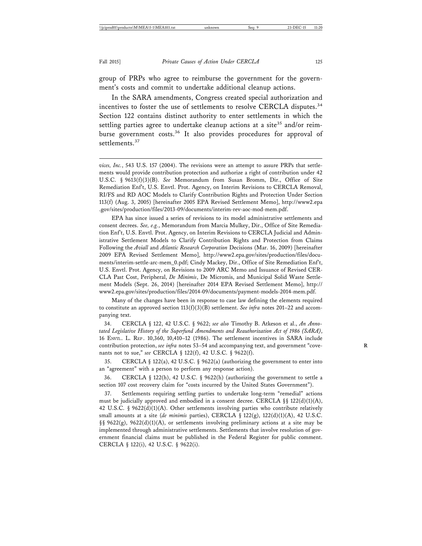group of PRPs who agree to reimburse the government for the government's costs and commit to undertake additional cleanup actions.

In the SARA amendments, Congress created special authorization and incentives to foster the use of settlements to resolve CERCLA disputes.<sup>34</sup> Section 122 contains distinct authority to enter settlements in which the settling parties agree to undertake cleanup actions at a site<sup>35</sup> and/or reimburse government costs.<sup>36</sup> It also provides procedures for approval of settlements.<sup>37</sup>

EPA has since issued a series of revisions to its model administrative settlements and consent decrees. *See, e.g.*, Memorandum from Marcia Mulkey, Dir., Office of Site Remediation Enf't, U.S. Envtl. Prot. Agency, on Interim Revisions to CERCLA Judicial and Administrative Settlement Models to Clarify Contribution Rights and Protection from Claims Following the *Aviall* and *Atlantic Research Corporation* Decisions (Mar. 16, 2009) [hereinafter 2009 EPA Revised Settlement Memo], http://www2.epa.gov/sites/production/files/documents/interim-settle-arc-mem\_0.pdf; Cindy Mackey, Dir., Office of Site Remediation Enf't, U.S. Envtl. Prot. Agency, on Revisions to 2009 ARC Memo and Issuance of Revised CER-CLA Past Cost, Peripheral, *De Minimis*, De Micromis, and Municipal Solid Waste Settlement Models (Sept. 26, 2014) [hereinafter 2014 EPA Revised Settlement Memo], http:// www2.epa.gov/sites/production/files/2014-09/documents/payment-models-2014-mem.pdf.

Many of the changes have been in response to case law defining the elements required to constitute an approved section 113(f)(3)(B) settlement. *See infra* notes 201–22 and accompanying text.

34. CERCLA § 122, 42 U.S.C. § 9622; *see also* Timothy B. Atkeson et al., *An Annotated Legislative History of the Superfund Amendments and Reauthorization Act of 1986 (SARA)*, 16 ENVTL. L. REP . 10,360, 10,410–12 (1986). The settlement incentives in SARA include contribution protection, *see infra* notes 53–54 and accompanying text, and government "covenants not to sue," *see* CERCLA § 122(f), 42 U.S.C. § 9622(f).

35. CERCLA § 122(a), 42 U.S.C. § 9622(a) (authorizing the government to enter into an "agreement" with a person to perform any response action).

36. CERCLA § 122(h), 42 U.S.C. § 9622(h) (authorizing the government to settle a section 107 cost recovery claim for "costs incurred by the United States Government").

37. Settlements requiring settling parties to undertake long-term "remedial" actions must be judicially approved and embodied in a consent decree. CERCLA  $\S$ § 122(d)(1)(A), 42 U.S.C. § 9622(d)(1)(A). Other settlements involving parties who contribute relatively small amounts at a site (*de minimis* parties), CERCLA §  $122(g)$ ,  $122(d)(1)(A)$ , 42 U.S.C. §§ 9622(g), 9622(d)(1)(A), or settlements involving preliminary actions at a site may be implemented through administrative settlements. Settlements that involve resolution of government financial claims must be published in the Federal Register for public comment. CERCLA § 122(i), 42 U.S.C. § 9622(i).

*vices, Inc.*, 543 U.S. 157 (2004). The revisions were an attempt to assure PRPs that settlements would provide contribution protection and authorize a right of contribution under 42 U.S.C. § 9613(f)(3)(B). *See* Memorandum from Susan Bromm, Dir., Office of Site Remediation Enf't, U.S. Envtl. Prot. Agency, on Interim Revisions to CERCLA Removal, RI/FS and RD AOC Models to Clarify Contribution Rights and Protection Under Section 113(f) (Aug. 3, 2005) [hereinafter 2005 EPA Revised Settlement Memo], http://www2.epa .gov/sites/production/files/2013-09/documents/interim-rev-aoc-mod-mem.pdf.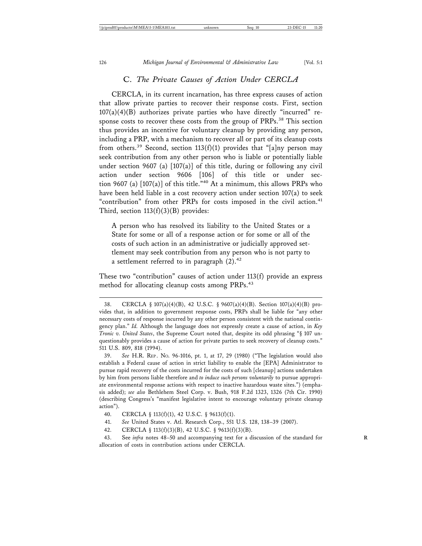#### C. *The Private Causes of Action Under CERCLA*

CERCLA, in its current incarnation, has three express causes of action that allow private parties to recover their response costs. First, section  $107(a)(4)(B)$  authorizes private parties who have directly "incurred" response costs to recover these costs from the group of PRPs.<sup>38</sup> This section thus provides an incentive for voluntary cleanup by providing any person, including a PRP, with a mechanism to recover all or part of its cleanup costs from others.<sup>39</sup> Second, section 113(f)(1) provides that "[a]ny person may seek contribution from any other person who is liable or potentially liable under section 9607 (a)  $[107(a)]$  of this title, during or following any civil action under section 9606 [106] of this title or under section 9607 (a)  $[107(a)]$  of this title.<sup>"40</sup> At a minimum, this allows PRPs who have been held liable in a cost recovery action under section 107(a) to seek "contribution" from other PRPs for costs imposed in the civil action.<sup>41</sup> Third, section  $113(f)(3)(B)$  provides:

A person who has resolved its liability to the United States or a State for some or all of a response action or for some or all of the costs of such action in an administrative or judicially approved settlement may seek contribution from any person who is not party to a settlement referred to in paragraph  $(2).<sup>42</sup>$ 

These two "contribution" causes of action under 113(f) provide an express method for allocating cleanup costs among PRPs.<sup>43</sup>

<sup>38.</sup> CERCLA § 107(a)(4)(B), 42 U.S.C. § 9607(a)(4)(B). Section 107(a)(4)(B) provides that, in addition to government response costs, PRPs shall be liable for "any other necessary costs of response incurred by any other person consistent with the national contingency plan." *Id.* Although the language does not expressly create a cause of action, in *Key Tronic v. United States*, the Supreme Court noted that, despite its odd phrasing "§ 107 unquestionably provides a cause of action for private parties to seek recovery of cleanup costs." 511 U.S. 809, 818 (1994).

<sup>39.</sup> *See* H.R. REP . NO. 96-1016, pt. 1, at 17, 29 (1980) ("The legislation would also establish a Federal cause of action in strict liability to enable the [EPA] Administrator to pursue rapid recovery of the costs incurred for the costs of such [cleanup] actions undertaken by him from persons liable therefore and *to induce such persons voluntarily* to pursue appropriate environmental response actions with respect to inactive hazardous waste sites.") (emphasis added); *see also* Bethlehem Steel Corp. v. Bush, 918 F.2d 1323, 1326 (7th Cir. 1990) (describing Congress's "manifest legislative intent to encourage voluntary private cleanup action").

<sup>40.</sup> CERCLA § 113(f)(1), 42 U.S.C. § 9613(f)(1).

<sup>41.</sup> *See* United States v. Atl. Research Corp., 551 U.S. 128, 138–39 (2007).

<sup>42.</sup> CERCLA § 113(f)(3)(B), 42 U.S.C. § 9613(f)(3)(B).

<sup>43.</sup> See *infra* notes 48–50 and accompanying text for a discussion of the standard for **R** allocation of costs in contribution actions under CERCLA.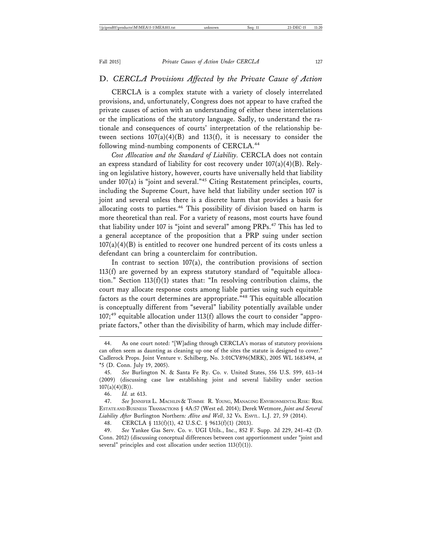#### D. *CERCLA Provisions Affected by the Private Cause of Action*

CERCLA is a complex statute with a variety of closely interrelated provisions, and, unfortunately, Congress does not appear to have crafted the private causes of action with an understanding of either these interrelations or the implications of the statutory language. Sadly, to understand the rationale and consequences of courts' interpretation of the relationship between sections  $107(a)(4)(B)$  and  $113(f)$ , it is necessary to consider the following mind-numbing components of CERCLA.<sup>44</sup>

*Cost Allocation and the Standard of Liability.* CERCLA does not contain an express standard of liability for cost recovery under  $107(a)(4)(B)$ . Relying on legislative history, however, courts have universally held that liability under 107(a) is "joint and several."45 Citing Restatement principles, courts, including the Supreme Court, have held that liability under section 107 is joint and several unless there is a discrete harm that provides a basis for allocating costs to parties.<sup>46</sup> This possibility of division based on harm is more theoretical than real. For a variety of reasons, most courts have found that liability under 107 is "joint and several" among PRPs.<sup>47</sup> This has led to a general acceptance of the proposition that a PRP suing under section  $107(a)(4)(B)$  is entitled to recover one hundred percent of its costs unless a defendant can bring a counterclaim for contribution.

In contrast to section 107(a), the contribution provisions of section 113(f) are governed by an express statutory standard of "equitable allocation." Section 113(f)(1) states that: "In resolving contribution claims, the court may allocate response costs among liable parties using such equitable factors as the court determines are appropriate."48 This equitable allocation is conceptually different from "several" liability potentially available under  $107;^{49}$  equitable allocation under 113(f) allows the court to consider "appropriate factors," other than the divisibility of harm, which may include differ-

48. CERCLA § 113(f)(1), 42 U.S.C. § 9613(f)(1) (2013).

49. *See* Yankee Gas Serv. Co. v. UGI Utils., Inc., 852 F. Supp. 2d 229, 241–42 (D. Conn. 2012) (discussing conceptual differences between cost apportionment under "joint and several" principles and cost allocation under section  $113(f)(1)$ ).

<sup>44.</sup> As one court noted: "[W]ading through CERCLA's morass of statutory provisions can often seem as daunting as cleaning up one of the sites the statute is designed to cover." Cadlerock Props. Joint Venture v. Schilberg, No. 3:01CV896(MRK), 2005 WL 1683494, at \*5 (D. Conn. July 19, 2005).

<sup>45.</sup> *See* Burlington N. & Santa Fe Ry. Co. v. United States, 556 U.S. 599, 613–14 (2009) (discussing case law establishing joint and several liability under section  $107(a)(4)(B)$ ).

<sup>46.</sup> *Id.* at 613.

<sup>47.</sup> *See* JENNIFER L. MACHLIN & TOMME R. YOUNG, MANAGING ENVIRONMENTAL RISK: REAL ESTATE AND BUSINESS TRANSACTIONS § 4A:57 (West ed. 2014); Derek Wetmore, *Joint and Several Liability After* Burlington Northern*: Alive and Well*, 32 VA. ENVTL. L.J. 27, 59 (2014).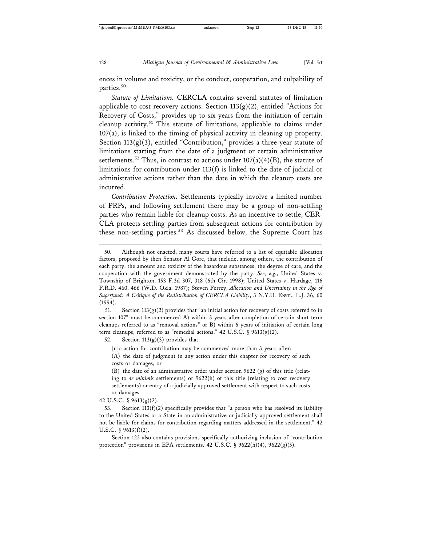ences in volume and toxicity, or the conduct, cooperation, and culpability of parties.<sup>50</sup>

*Statute of Limitations.* CERCLA contains several statutes of limitation applicable to cost recovery actions. Section  $113(g)(2)$ , entitled "Actions for Recovery of Costs," provides up to six years from the initiation of certain cleanup activity.51 This statute of limitations, applicable to claims under 107(a), is linked to the timing of physical activity in cleaning up property. Section 113(g)(3), entitled "Contribution," provides a three-year statute of limitations starting from the date of a judgment or certain administrative settlements.<sup>52</sup> Thus, in contrast to actions under  $107(a)(4)(B)$ , the statute of limitations for contribution under 113(f) is linked to the date of judicial or administrative actions rather than the date in which the cleanup costs are incurred.

*Contribution Protection.* Settlements typically involve a limited number of PRPs, and following settlement there may be a group of non-settling parties who remain liable for cleanup costs. As an incentive to settle, CER-CLA protects settling parties from subsequent actions for contribution by these non-settling parties.<sup>53</sup> As discussed below, the Supreme Court has

51. Section  $113(g)(2)$  provides that "an initial action for recovery of costs referred to in section 107" must be commenced A) within 3 years after completion of certain short term cleanups referred to as "removal actions" or B) within 6 years of initiation of certain long term cleanups, referred to as "remedial actions." 42 U.S.C. § 9613(g)(2).

52. Section 113(g)(3) provides that

[n]o action for contribution may be commenced more than 3 years after:

(A) the date of judgment in any action under this chapter for recovery of such costs or damages, or

(B) the date of an administrative order under section 9622 (g) of this title (relating to *de minimis* settlements) or 9622(h) of this title (relating to cost recovery settlements) or entry of a judicially approved settlement with respect to such costs or damages.

42 U.S.C. § 9613(g)(2).

53. Section  $113(f)(2)$  specifically provides that "a person who has resolved its liability to the United States or a State in an administrative or judicially approved settlement shall not be liable for claims for contribution regarding matters addressed in the settlement." 42 U.S.C.  $\S$  9613(f)(2).

Section 122 also contains provisions specifically authorizing inclusion of "contribution protection" provisions in EPA settlements. 42 U.S.C. § 9622(h)(4), 9622(g)(5).

<sup>50.</sup> Although not enacted, many courts have referred to a list of equitable allocation factors, proposed by then Senator Al Gore, that include, among others, the contribution of each party, the amount and toxicity of the hazardous substances, the degree of care, and the cooperation with the government demonstrated by the party. *See, e.g.*, United States v. Township of Brighton, 153 F.3d 307, 318 (6th Cir. 1998); United States v. Hardage, 116 F.R.D. 460, 466 (W.D. Okla. 1987); Steven Ferrey, *Allocation and Uncertainty in the Age of* Superfund: A Critique of the Redistribution of CERCLA Liability, 3 N.Y.U. ENVIL. L.J. 36, 60 (1994).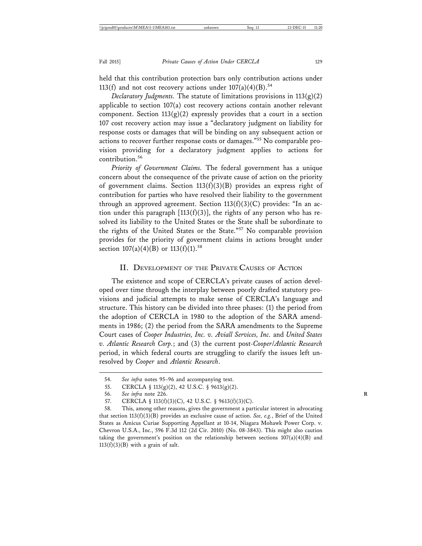held that this contribution protection bars only contribution actions under 113(f) and not cost recovery actions under  $107(a)(4)(B)$ .<sup>54</sup>

*Declaratory Judgments.* The statute of limitations provisions in 113(g)(2) applicable to section 107(a) cost recovery actions contain another relevant component. Section  $113(g)(2)$  expressly provides that a court in a section 107 cost recovery action may issue a "declaratory judgment on liability for response costs or damages that will be binding on any subsequent action or actions to recover further response costs or damages."55 No comparable provision providing for a declaratory judgment applies to actions for contribution.<sup>56</sup>

*Priority of Government Claims.* The federal government has a unique concern about the consequence of the private cause of action on the priority of government claims. Section 113(f)(3)(B) provides an express right of contribution for parties who have resolved their liability to the government through an approved agreement. Section  $113(f)(3)(C)$  provides: "In an action under this paragraph  $[113(f)(3)]$ , the rights of any person who has resolved its liability to the United States or the State shall be subordinate to the rights of the United States or the State."57 No comparable provision provides for the priority of government claims in actions brought under section  $107(a)(4)(B)$  or  $113(f)(1).$ <sup>58</sup>

#### II. DEVELOPMENT OF THE PRIVATE CAUSES OF ACTION

The existence and scope of CERCLA's private causes of action developed over time through the interplay between poorly drafted statutory provisions and judicial attempts to make sense of CERCLA's language and structure. This history can be divided into three phases: (1) the period from the adoption of CERCLA in 1980 to the adoption of the SARA amendments in 1986; (2) the period from the SARA amendments to the Supreme Court cases of *Cooper Industries, Inc. v. Aviall Services, Inc.* and *United States v. Atlantic Research Corp.*; and (3) the current post-*Cooper*/*Atlantic Research* period, in which federal courts are struggling to clarify the issues left unresolved by *Cooper* and *Atlantic Research*.

55. CERCLA § 113(g)(2), 42 U.S.C. § 9613(g)(2).

<sup>54.</sup> *See infra* notes 95–96 and accompanying text.

<sup>56.</sup> *See infra* note 226. **R**

<sup>57.</sup> CERCLA § 113(f)(3)(C), 42 U.S.C. § 9613(f)(3)(C).

<sup>58.</sup> This, among other reasons, gives the government a particular interest in advocating that section 113(f)(3)(B) provides an exclusive cause of action. *See, e.g.*, Brief of the United States as Amicus Curiae Supporting Appellant at 10-14, Niagara Mohawk Power Corp. v. Chevron U.S.A., Inc., 596 F.3d 112 (2d Cir. 2010) (No. 08-3843). This might also caution taking the government's position on the relationship between sections 107(a)(4)(B) and  $113(f)(3)(B)$  with a grain of salt.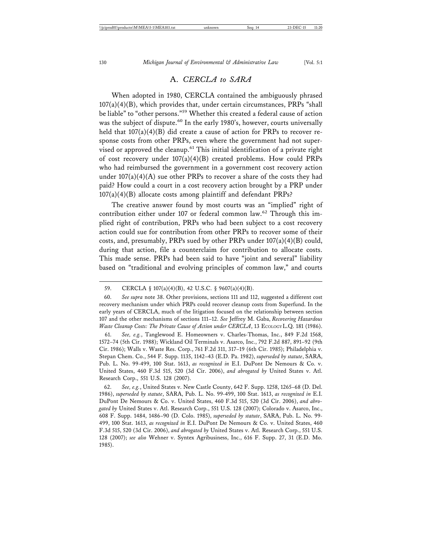When adopted in 1980, CERCLA contained the ambiguously phrased  $107(a)(4)(B)$ , which provides that, under certain circumstances, PRPs "shall be liable" to "other persons."<sup>59</sup> Whether this created a federal cause of action was the subject of dispute.<sup>60</sup> In the early 1980's, however, courts universally held that  $107(a)(4)(B)$  did create a cause of action for PRPs to recover response costs from other PRPs, even where the government had not supervised or approved the cleanup.<sup>61</sup> This initial identification of a private right of cost recovery under 107(a)(4)(B) created problems. How could PRPs who had reimbursed the government in a government cost recovery action under  $107(a)(4)(A)$  sue other PRPs to recover a share of the costs they had paid? How could a court in a cost recovery action brought by a PRP under 107(a)(4)(B) allocate costs among plaintiff and defendant PRPs?

The creative answer found by most courts was an "implied" right of contribution either under 107 or federal common law.<sup>62</sup> Through this implied right of contribution, PRPs who had been subject to a cost recovery action could sue for contribution from other PRPs to recover some of their costs, and, presumably, PRPs sued by other PRPs under  $107(a)(4)(B)$  could, during that action, file a counterclaim for contribution to allocate costs. This made sense. PRPs had been said to have "joint and several" liability based on "traditional and evolving principles of common law," and courts

61. *See, e.g.*, Tanglewood E. Homeowners v. Charles-Thomas, Inc., 849 F.2d 1568, 1572–74 (5th Cir. 1988); Wickland Oil Terminals v. Asarco, Inc., 792 F.2d 887, 891–92 (9th Cir. 1986); Walls v. Waste Res. Corp., 761 F.2d 311, 317–19 (6th Cir. 1985); Philadelphia v. Stepan Chem. Co., 544 F. Supp. 1135, 1142–43 (E.D. Pa. 1982), *superseded by statute*, SARA, Pub. L. No. 99-499, 100 Stat. 1613, *as recognized in* E.I. DuPont De Nemours & Co. v. United States, 460 F.3d 515, 520 (3d Cir. 2006), *and abrogated by* United States v. Atl. Research Corp., 551 U.S. 128 (2007).

62. *See, e.g.*, United States v. New Castle County, 642 F. Supp. 1258, 1265–68 (D. Del. 1986), *superseded by statute*, SARA, Pub. L. No. 99-499, 100 Stat. 1613, *as recognized in* E.I. DuPont De Nemours & Co. v. United States, 460 F.3d 515, 520 (3d Cir. 2006), *and abrogated by* United States v. Atl. Research Corp., 551 U.S. 128 (2007); Colorado v. Asarco, Inc., 608 F. Supp. 1484, 1486–90 (D. Colo. 1985), *superseded by statute*, SARA, Pub. L. No. 99- 499, 100 Stat. 1613, *as recognized in* E.I. DuPont De Nemours & Co. v. United States, 460 F.3d 515, 520 (3d Cir. 2006), *and abrogated by* United States v. Atl. Research Corp., 551 U.S. 128 (2007); *see also* Wehner v. Syntex Agribusiness, Inc., 616 F. Supp. 27, 31 (E.D. Mo. 1985).

<sup>59.</sup> CERCLA § 107(a)(4)(B), 42 U.S.C. § 9607(a)(4)(B).

<sup>60.</sup> *See supra* note 38. Other provisions, sections 111 and 112, suggested a different cost recovery mechanism under which PRPs could recover cleanup costs from Superfund. In the early years of CERCLA, much of the litigation focused on the relationship between section 107 and the other mechanisms of sections 111–12. *See* Jeffrey M. Gaba, *Recovering Hazardous Waste Cleanup Costs: The Private Cause of Action under CERCLA*, 13 ECOLOGY L.Q. 181 (1986).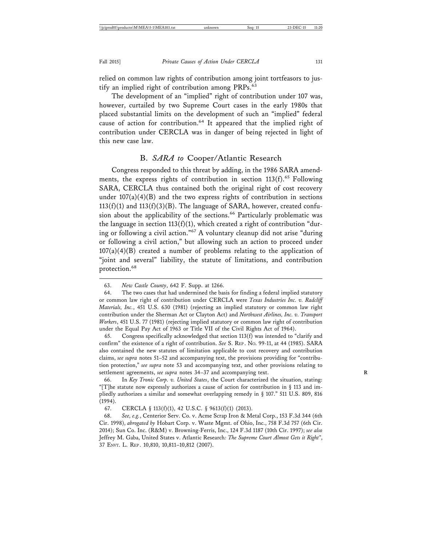relied on common law rights of contribution among joint tortfeasors to justify an implied right of contribution among PRPs.<sup>63</sup>

The development of an "implied" right of contribution under 107 was, however, curtailed by two Supreme Court cases in the early 1980s that placed substantial limits on the development of such an "implied" federal cause of action for contribution.<sup>64</sup> It appeared that the implied right of contribution under CERCLA was in danger of being rejected in light of this new case law.

#### B. *SARA to* Cooper*/*Atlantic Research

Congress responded to this threat by adding, in the 1986 SARA amendments, the express rights of contribution in section  $113(f)$ .<sup>65</sup> Following SARA, CERCLA thus contained both the original right of cost recovery under  $107(a)(4)(B)$  and the two express rights of contribution in sections  $113(f)(1)$  and  $113(f)(3)(B)$ . The language of SARA, however, created confusion about the applicability of the sections.<sup>66</sup> Particularly problematic was the language in section  $113(f)(1)$ , which created a right of contribution "during or following a civil action."67 A voluntary cleanup did not arise "during or following a civil action," but allowing such an action to proceed under  $107(a)(4)(B)$  created a number of problems relating to the application of "joint and several" liability, the statute of limitations, and contribution protection.68

65. Congress specifically acknowledged that section 113(f) was intended to "clarify and confirm" the existence of a right of contribution. *See* S. REP . NO. 99-11, at 44 (1985). SARA also contained the new statutes of limitation applicable to cost recovery and contribution claims, *see supra* notes 51–52 and accompanying text, the provisions providing for "contribution protection," *see supra* note 53 and accompanying text, and other provisions relating to settlement agreements, *see supra* notes 34–37 and accompanying text.

<sup>63.</sup> *New Castle County*, 642 F. Supp. at 1266.

<sup>64.</sup> The two cases that had undermined the basis for finding a federal implied statutory or common law right of contribution under CERCLA were *Texas Industries Inc. v. Radcliff Materials, Inc.*, 451 U.S. 630 (1981) (rejecting an implied statutory or common law right contribution under the Sherman Act or Clayton Act) and *Northwest Airlines, Inc. v. Transport Workers*, 451 U.S. 77 (1981) (rejecting implied statutory or common law right of contribution under the Equal Pay Act of 1963 or Title VII of the Civil Rights Act of 1964).

<sup>66.</sup> In *Key Tronic Corp. v. United States*, the Court characterized the situation, stating: "[T]he statute now expressly authorizes a cause of action for contribution in § 113 and impliedly authorizes a similar and somewhat overlapping remedy in § 107." 511 U.S. 809, 816 (1994).

<sup>67.</sup> CERCLA § 113(f)(1), 42 U.S.C. § 9613(f)(1) (2013).

<sup>68.</sup> *See, e.g.*, Centerior Serv. Co. v. Acme Scrap Iron & Metal Corp., 153 F.3d 344 (6th Cir. 1998), *abrogated by* Hobart Corp. v. Waste Mgmt. of Ohio, Inc., 758 F.3d 757 (6th Cir. 2014); Sun Co. Inc. (R&M) v. Browning-Ferris, Inc., 124 F.3d 1187 (10th Cir. 1997); *see also* Jeffrey M. Gaba, United States v. Atlantic Research*: The Supreme Court Almost Gets it Right"*, 37 ENVT. L. REP . 10,810, 10,811–10,812 (2007).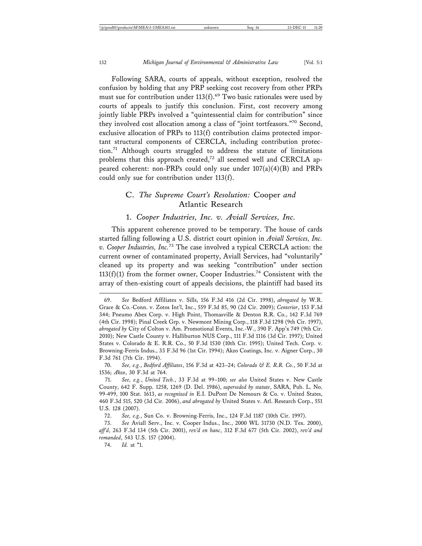Following SARA, courts of appeals, without exception, resolved the confusion by holding that any PRP seeking cost recovery from other PRPs must sue for contribution under  $113(f)$ .<sup>69</sup> Two basic rationales were used by courts of appeals to justify this conclusion. First, cost recovery among jointly liable PRPs involved a "quintessential claim for contribution" since they involved cost allocation among a class of "joint tortfeasors."70 Second, exclusive allocation of PRPs to 113(f) contribution claims protected important structural components of CERCLA, including contribution protection.71 Although courts struggled to address the statute of limitations problems that this approach created,<sup>72</sup> all seemed well and CERCLA appeared coherent: non-PRPs could only sue under 107(a)(4)(B) and PRPs could only sue for contribution under 113(f).

### C. *The Supreme Court's Resolution:* Cooper *and* Atlantic Research

#### 1. *Cooper Industries, Inc. v. Aviall Services, Inc.*

This apparent coherence proved to be temporary. The house of cards started falling following a U.S. district court opinion in *Aviall Services, Inc. v. Cooper Industries, Inc.*73 The case involved a typical CERCLA action: the current owner of contaminated property, Aviall Services, had "voluntarily" cleaned up its property and was seeking "contribution" under section  $113(f)(1)$  from the former owner, Cooper Industries.<sup>74</sup> Consistent with the array of then-existing court of appeals decisions, the plaintiff had based its

72. *See, e.g.*, Sun Co. v. Browning-Ferris, Inc., 124 F.3d 1187 (10th Cir. 1997).

73. *See* Aviall Serv., Inc. v. Cooper Indus., Inc., 2000 WL 31730 (N.D. Tex. 2000), *aff'd*, 263 F.3d 134 (5th Cir. 2001), *rev'd en banc*, 312 F.3d 677 (5th Cir. 2002), *rev'd and remanded*, 543 U.S. 157 (2004).

74. *Id.* at \*1.

<sup>69.</sup> *See* Bedford Affiliates v. Sills, 156 F.3d 416 (2d Cir. 1998), *abrogated by* W.R. Grace & Co.-Conn. v. Zotos Int'l, Inc., 559 F.3d 85, 90 (2d Cir. 2009); *Centerior*, 153 F.3d 344; Pneumo Abex Corp. v. High Point, Thomasville & Denton R.R. Co., 142 F.3d 769 (4th Cir. 1998); Pinal Creek Grp. v. Newmont Mining Corp., 118 F.3d 1298 (9th Cir. 1997), *abrogated by* City of Colton v. Am. Promotional Events, Inc.-W., 390 F. App'x 749 (9th Cir. 2010); New Castle County v. Halliburton NUS Corp., 111 F.3d 1116 (3d Cir. 1997); United States v. Colorado & E. R.R. Co., 50 F.3d 1530 (10th Cir. 1995); United Tech. Corp. v. Browning-Ferris Indus., 33 F.3d 96 (1st Cir. 1994); Akzo Coatings, Inc. v. Aigner Corp., 30 F.3d 761 (7th Cir. 1994).

<sup>70.</sup> *See, e.g.*, *Bedford Affiliates*, 156 F.3d at 423–24; *Colorado & E. R.R. Co.*, 50 F.3d at 1536; *Akzo*, 30 F.3d at 764.

<sup>71.</sup> *See, e.g.*, *United Tech.*, 33 F.3d at 99–100; *see also* United States v. New Castle County, 642 F. Supp. 1258, 1269 (D. Del. 1986), *superseded by statute*, SARA, Pub. L. No. 99-499, 100 Stat. 1613, *as recognized in* E.I. DuPont De Nemours & Co. v. United States, 460 F.3d 515, 520 (3d Cir. 2006), *and abrogated by* United States v. Atl. Research Corp., 551 U.S. 128 (2007).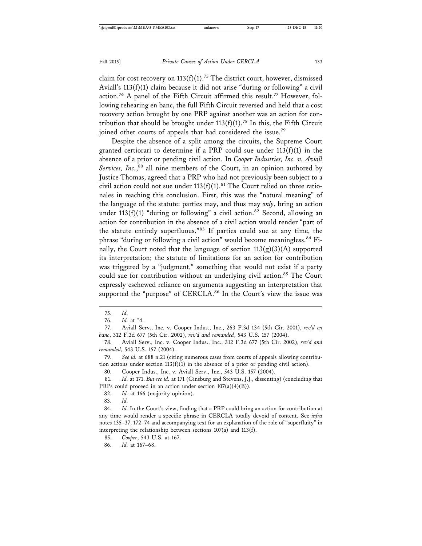claim for cost recovery on  $113(f)(1)$ .<sup>75</sup> The district court, however, dismissed Aviall's 113(f)(1) claim because it did not arise "during or following" a civil action.<sup>76</sup> A panel of the Fifth Circuit affirmed this result.<sup>77</sup> However, following rehearing en banc, the full Fifth Circuit reversed and held that a cost recovery action brought by one PRP against another was an action for contribution that should be brought under  $113(f)(1)$ .<sup>78</sup> In this, the Fifth Circuit joined other courts of appeals that had considered the issue.<sup>79</sup>

Despite the absence of a split among the circuits, the Supreme Court granted certiorari to determine if a PRP could sue under  $113(f)(1)$  in the absence of a prior or pending civil action. In *Cooper Industries, Inc. v. Aviall* Services, Inc.,<sup>80</sup> all nine members of the Court, in an opinion authored by Justice Thomas, agreed that a PRP who had not previously been subject to a civil action could not sue under  $113(f)(1)$ .<sup>81</sup> The Court relied on three rationales in reaching this conclusion. First, this was the "natural meaning" of the language of the statute: parties may, and thus may *only*, bring an action under 113(f)(1) "during or following" a civil action.<sup>82</sup> Second, allowing an action for contribution in the absence of a civil action would render "part of the statute entirely superfluous."83 If parties could sue at any time, the phrase "during or following a civil action" would become meaningless.<sup>84</sup> Finally, the Court noted that the language of section  $113(g)(3)(A)$  supported its interpretation; the statute of limitations for an action for contribution was triggered by a "judgment," something that would not exist if a party could sue for contribution without an underlying civil action.<sup>85</sup> The Court expressly eschewed reliance on arguments suggesting an interpretation that supported the "purpose" of CERCLA.<sup>86</sup> In the Court's view the issue was

77. Aviall Serv., Inc. v. Cooper Indus., Inc., 263 F.3d 134 (5th Cir. 2001), *rev'd en banc*, 312 F.3d 677 (5th Cir. 2002), *rev'd and remanded*, 543 U.S. 157 (2004).

79. *See id.* at 688 n.21 (citing numerous cases from courts of appeals allowing contribution actions under section  $113(f)(1)$  in the absence of a prior or pending civil action).

80. Cooper Indus., Inc. v. Aviall Serv., Inc., 543 U.S. 157 (2004).

81. *Id.* at 171. *But see id.* at 171 (Ginsburg and Stevens, J.J., dissenting) (concluding that PRPs could proceed in an action under section 107(a)(4)(B)).

82. *Id.* at 166 (majority opinion).

83. *Id.*

84. *Id.* In the Court's view, finding that a PRP could bring an action for contribution at any time would render a specific phrase in CERCLA totally devoid of content. See *infra* notes 135–37, 172–74 and accompanying text for an explanation of the role of "superfluity" in interpreting the relationship between sections 107(a) and 113(f).

85. *Cooper*, 543 U.S. at 167.

86. *Id.* at 167–68.

<sup>75.</sup> *Id.*

<sup>76.</sup> *Id.* at \*4.

<sup>78.</sup> Aviall Serv., Inc. v. Cooper Indus., Inc., 312 F.3d 677 (5th Cir. 2002), *rev'd and remanded*, 543 U.S. 157 (2004).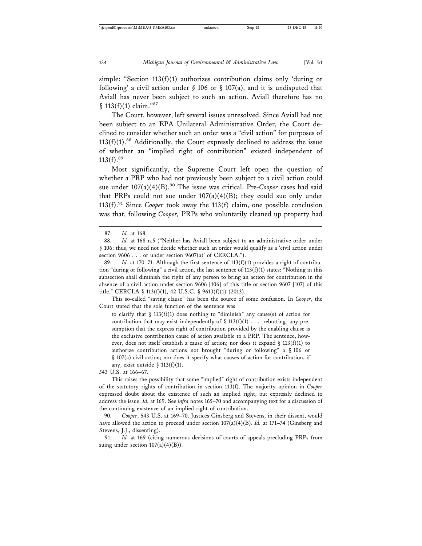simple: "Section 113(f)(1) authorizes contribution claims only 'during or following' a civil action under  $\S$  106 or  $\S$  107(a), and it is undisputed that Aviall has never been subject to such an action. Aviall therefore has no § 113(f)(1) claim."87

The Court, however, left several issues unresolved. Since Aviall had not been subject to an EPA Unilateral Administrative Order, the Court declined to consider whether such an order was a "civil action" for purposes of  $113(f)(1).88$  Additionally, the Court expressly declined to address the issue of whether an "implied right of contribution" existed independent of  $113(f).^{89}$ 

Most significantly, the Supreme Court left open the question of whether a PRP who had not previously been subject to a civil action could sue under 107(a)(4)(B).<sup>90</sup> The issue was critical. Pre-Cooper cases had said that PRPs could not sue under  $107(a)(4)(B)$ ; they could sue only under 113(f).<sup>91</sup> Since *Cooper* took away the 113(f) claim, one possible conclusion was that, following *Cooper,* PRPs who voluntarily cleaned up property had

89. *Id.* at 170–71. Although the first sentence of 113(f)(1) provides a right of contribution "during or following" a civil action, the last sentence of  $113(f)(1)$  states: "Nothing in this subsection shall diminish the right of any person to bring an action for contribution in the absence of a civil action under section 9606 [106] of this title or section 9607 [107] of this title." CERCLA § 113(f)(1), 42 U.S.C. § 9613(f)(1) (2013).

This so-called "saving clause" has been the source of some confusion. In *Cooper*, the Court stated that the sole function of the sentence was

to clarify that § 113(f)(1) does nothing to "diminish" any cause(s) of action for contribution that may exist independently of  $\S 113(f)(1)$ ... [rebutting] any presumption that the express right of contribution provided by the enabling clause is the exclusive contribution cause of action available to a PRP. The sentence, however, does not itself establish a cause of action; nor does it expand  $\S$  113(f)(1) to authorize contribution actions not brought "during or following" a § 106 or § 107(a) civil action; nor does it specify what causes of action for contribution, if any, exist outside §  $113(f)(1)$ .

543 U.S. at 166–67.

This raises the possibility that some "implied" right of contribution exists independent of the statutory rights of contribution in section 113(f). The majority opinion in *Cooper* expressed doubt about the existence of such an implied right, but expressly declined to address the issue. *Id.* at 169. See *infra* notes 165–70 and accompanying text for a discussion of the continuing existence of an implied right of contribution.

90. *Cooper*, 543 U.S. at 169–70. Justices Ginsberg and Stevens, in their dissent, would have allowed the action to proceed under section  $107(a)(4)(B)$ . *Id.* at 171–74 (Ginsberg and Stevens, J.J., dissenting).

91. *Id.* at 169 (citing numerous decisions of courts of appeals precluding PRPs from suing under section  $107(a)(4)(B)$ ).

<sup>87.</sup> *Id.* at 168.

<sup>88.</sup> *Id.* at 168 n.5 ("Neither has Aviall been subject to an administrative order under § 106; thus, we need not decide whether such an order would qualify as a 'civil action under section 9606 . . . or under section 9607(a)' of CERCLA.").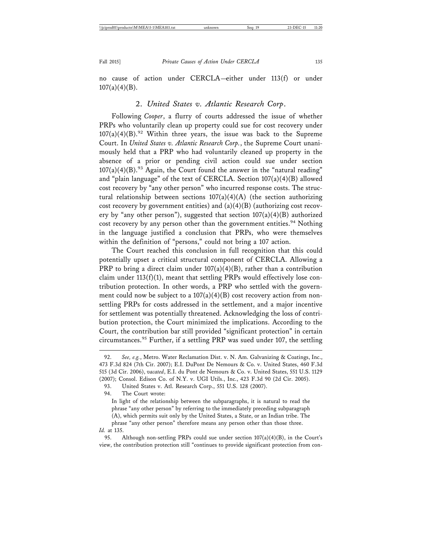no cause of action under CERCLA—either under 113(f) or under  $107(a)(4)(B)$ .

#### 2. *United States v. Atlantic Research Corp*.

Following *Cooper*, a flurry of courts addressed the issue of whether PRPs who voluntarily clean up property could sue for cost recovery under  $107(a)(4)(B)$ .<sup>92</sup> Within three years, the issue was back to the Supreme Court. In *United States v. Atlantic Research Corp.*, the Supreme Court unanimously held that a PRP who had voluntarily cleaned up property in the absence of a prior or pending civil action could sue under section  $107(a)(4)(B).$ <sup>93</sup> Again, the Court found the answer in the "natural reading" and "plain language" of the text of CERCLA. Section  $107(a)(4)(B)$  allowed cost recovery by "any other person" who incurred response costs. The structural relationship between sections  $107(a)(4)(A)$  (the section authorizing cost recovery by government entities) and  $(a)(4)(B)$  (authorizing cost recovery by "any other person"), suggested that section  $107(a)(4)(B)$  authorized cost recovery by any person other than the government entities.<sup>94</sup> Nothing in the language justified a conclusion that PRPs, who were themselves within the definition of "persons," could not bring a 107 action.

The Court reached this conclusion in full recognition that this could potentially upset a critical structural component of CERCLA. Allowing a PRP to bring a direct claim under  $107(a)(4)(B)$ , rather than a contribution claim under  $113(f)(1)$ , meant that settling PRPs would effectively lose contribution protection. In other words, a PRP who settled with the government could now be subject to a  $107(a)(4)(B)$  cost recovery action from nonsettling PRPs for costs addressed in the settlement, and a major incentive for settlement was potentially threatened. Acknowledging the loss of contribution protection, the Court minimized the implications. According to the Court, the contribution bar still provided "significant protection" in certain circumstances.95 Further, if a settling PRP was sued under 107, the settling

94. The Court wrote:

In light of the relationship between the subparagraphs, it is natural to read the phrase "any other person" by referring to the immediately preceding subparagraph (A), which permits suit only by the United States, a State, or an Indian tribe. The phrase "any other person" therefore means any person other than those three. *Id.* at 135.

95. Although non-settling PRPs could sue under section  $107(a)(4)(B)$ , in the Court's view, the contribution protection still "continues to provide significant protection from con-

<sup>92.</sup> *See, e.g.*, Metro. Water Reclamation Dist. v. N. Am. Galvanizing & Coatings, Inc., 473 F.3d 824 (7th Cir. 2007); E.I. DuPont De Nemours & Co. v. United States, 460 F.3d 515 (3d Cir. 2006), *vacated*, E.I. du Pont de Nemours & Co. v. United States, 551 U.S. 1129 (2007); Consol. Edison Co. of N.Y. v. UGI Utils., Inc., 423 F.3d 90 (2d Cir. 2005).

<sup>93.</sup> United States v. Atl. Research Corp., 551 U.S. 128 (2007).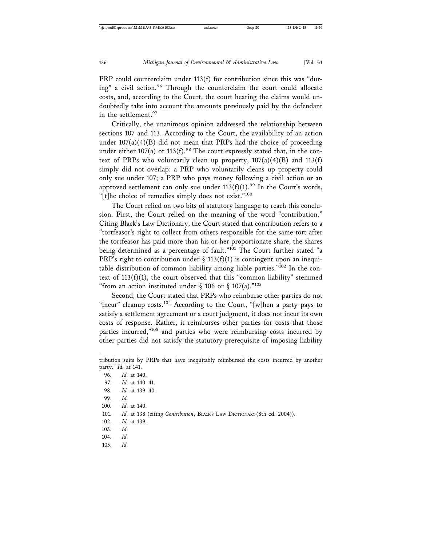PRP could counterclaim under 113(f) for contribution since this was "during" a civil action.96 Through the counterclaim the court could allocate costs, and, according to the Court, the court hearing the claims would undoubtedly take into account the amounts previously paid by the defendant in the settlement.<sup>97</sup>

Critically, the unanimous opinion addressed the relationship between sections 107 and 113. According to the Court, the availability of an action under  $107(a)(4)(B)$  did not mean that PRPs had the choice of proceeding under either 107(a) or 113(f).<sup>98</sup> The court expressly stated that, in the context of PRPs who voluntarily clean up property,  $107(a)(4)(B)$  and  $113(f)$ simply did not overlap: a PRP who voluntarily cleans up property could only sue under 107; a PRP who pays money following a civil action or an approved settlement can only sue under  $113(f)(1)$ .<sup>99</sup> In the Court's words, "[t]he choice of remedies simply does not exist."<sup>100</sup>

The Court relied on two bits of statutory language to reach this conclusion. First, the Court relied on the meaning of the word "contribution." Citing Black's Law Dictionary, the Court stated that contribution refers to a "tortfeasor's right to collect from others responsible for the same tort after the tortfeasor has paid more than his or her proportionate share, the shares being determined as a percentage of fault."<sup>101</sup> The Court further stated "a PRP's right to contribution under § 113(f)(1) is contingent upon an inequitable distribution of common liability among liable parties."102 In the context of  $113(f)(1)$ , the court observed that this "common liability" stemmed "from an action instituted under  $\S$  106 or  $\S$  107(a)."103

Second, the Court stated that PRPs who reimburse other parties do not "incur" cleanup costs.<sup>104</sup> According to the Court, "[w]hen a party pays to satisfy a settlement agreement or a court judgment, it does not incur its own costs of response. Rather, it reimburses other parties for costs that those parties incurred,"105 and parties who were reimbursing costs incurred by other parties did not satisfy the statutory prerequisite of imposing liability

tribution suits by PRPs that have inequitably reimbursed the costs incurred by another party." *Id.* at 141.

| 96.  | <i>Id.</i> at 140.                                                       |
|------|--------------------------------------------------------------------------|
| 97.  | <i>Id.</i> at 140–41.                                                    |
| 98.  | <i>Id.</i> at 139–40.                                                    |
| 99.  | Id.                                                                      |
| 100. | <i>Id.</i> at 140.                                                       |
| 101. | Id. at 138 (citing Contribution, BLACK's LAW DICTIONARY (8th ed. 2004)). |
| 102. | <i>Id.</i> at 139.                                                       |
| 103. | Id.                                                                      |
| 104. | Id.                                                                      |
| 105. | Id.                                                                      |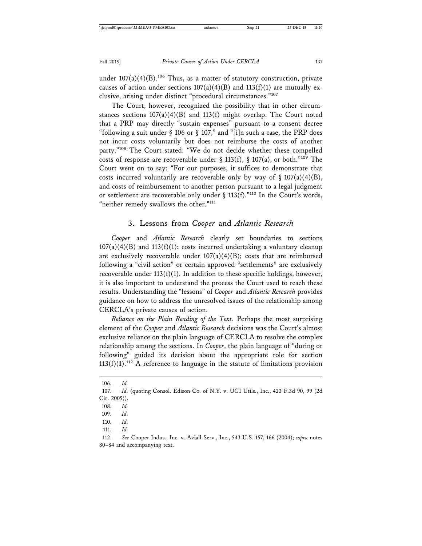under  $107(a)(4)(B)$ .<sup>106</sup> Thus, as a matter of statutory construction, private causes of action under sections  $107(a)(4)(B)$  and  $113(f)(1)$  are mutually exclusive, arising under distinct "procedural circumstances."<sup>107</sup>

The Court, however, recognized the possibility that in other circumstances sections  $107(a)(4)(B)$  and  $113(f)$  might overlap. The Court noted that a PRP may directly "sustain expenses" pursuant to a consent decree "following a suit under § 106 or § 107," and "[i]n such a case, the PRP does not incur costs voluntarily but does not reimburse the costs of another party."108 The Court stated: "We do not decide whether these compelled costs of response are recoverable under § 113(f), § 107(a), or both."<sup>109</sup> The Court went on to say: "For our purposes, it suffices to demonstrate that costs incurred voluntarily are recoverable only by way of  $\S 107(a)(4)(B)$ , and costs of reimbursement to another person pursuant to a legal judgment or settlement are recoverable only under § 113(f)."<sup>110</sup> In the Court's words, "neither remedy swallows the other."<sup>111</sup>

#### 3. Lessons from *Cooper* and *Atlantic Research*

*Cooper* and *Atlantic Research* clearly set boundaries to sections  $107(a)(4)(B)$  and  $113(f)(1)$ : costs incurred undertaking a voluntary cleanup are exclusively recoverable under  $107(a)(4)(B)$ ; costs that are reimbursed following a "civil action" or certain approved "settlements" are exclusively recoverable under  $113(f)(1)$ . In addition to these specific holdings, however, it is also important to understand the process the Court used to reach these results. Understanding the "lessons" of *Cooper* and *Atlantic Research* provides guidance on how to address the unresolved issues of the relationship among CERCLA's private causes of action.

*Reliance on the Plain Reading of the Text.* Perhaps the most surprising element of the *Cooper* and *Atlantic Research* decisions was the Court's almost exclusive reliance on the plain language of CERCLA to resolve the complex relationship among the sections. In *Cooper*, the plain language of "during or following" guided its decision about the appropriate role for section  $113(f)(1).$ <sup>112</sup> A reference to language in the statute of limitations provision

<sup>106.</sup> *Id.*

<sup>107.</sup> *Id.* (quoting Consol. Edison Co. of N.Y. v. UGI Utils., Inc., 423 F.3d 90, 99 (2d Cir. 2005)).

<sup>108.</sup> *Id.*

<sup>109.</sup> *Id.*

<sup>110.</sup> *Id.*

<sup>111.</sup> *Id.*

<sup>112.</sup> *See* Cooper Indus., Inc. v. Aviall Serv., Inc., 543 U.S. 157, 166 (2004); *supra* notes 80–84 and accompanying text.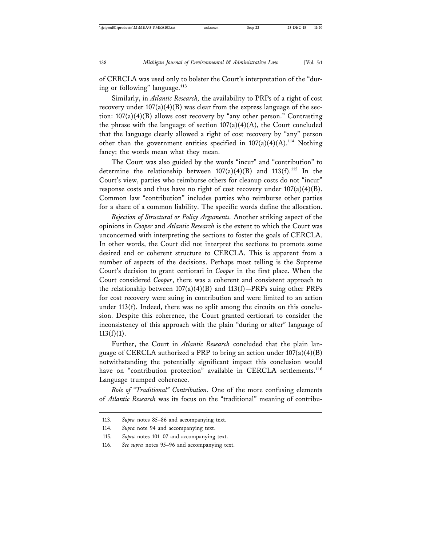of CERCLA was used only to bolster the Court's interpretation of the "during or following" language.<sup>113</sup>

Similarly, in *Atlantic Research,* the availability to PRPs of a right of cost recovery under  $107(a)(4)(B)$  was clear from the express language of the section: 107(a)(4)(B) allows cost recovery by "any other person." Contrasting the phrase with the language of section  $107(a)(4)(A)$ , the Court concluded that the language clearly allowed a right of cost recovery by "any" person other than the government entities specified in  $107(a)(4)(A).^{114}$  Nothing fancy; the words mean what they mean.

The Court was also guided by the words "incur" and "contribution" to determine the relationship between  $107(a)(4)(B)$  and  $113(f).$ <sup>115</sup> In the Court's view, parties who reimburse others for cleanup costs do not "incur" response costs and thus have no right of cost recovery under  $107(a)(4)(B)$ . Common law "contribution" includes parties who reimburse other parties for a share of a common liability. The specific words define the allocation.

*Rejection of Structural or Policy Arguments.* Another striking aspect of the opinions in *Cooper* and *Atlantic Research* is the extent to which the Court was unconcerned with interpreting the sections to foster the goals of CERCLA. In other words, the Court did not interpret the sections to promote some desired end or coherent structure to CERCLA. This is apparent from a number of aspects of the decisions. Perhaps most telling is the Supreme Court's decision to grant certiorari in *Cooper* in the first place. When the Court considered *Cooper*, there was a coherent and consistent approach to the relationship between  $107(a)(4)(B)$  and  $113(f)$ —PRPs suing other PRPs for cost recovery were suing in contribution and were limited to an action under 113(f). Indeed, there was no split among the circuits on this conclusion. Despite this coherence, the Court granted certiorari to consider the inconsistency of this approach with the plain "during or after" language of  $113(f)(1)$ .

Further, the Court in *Atlantic Research* concluded that the plain language of CERCLA authorized a PRP to bring an action under 107(a)(4)(B) notwithstanding the potentially significant impact this conclusion would have on "contribution protection" available in CERCLA settlements.<sup>116</sup> Language trumped coherence.

*Role of "Traditional" Contribution.* One of the more confusing elements of *Atlantic Research* was its focus on the "traditional" meaning of contribu-

<sup>113.</sup> *Supra* notes 85–86 and accompanying text.

<sup>114.</sup> *Supra* note 94 and accompanying text.

<sup>115.</sup> *Supra* notes 101–07 and accompanying text.

<sup>116.</sup> *See supra* notes 95–96 and accompanying text.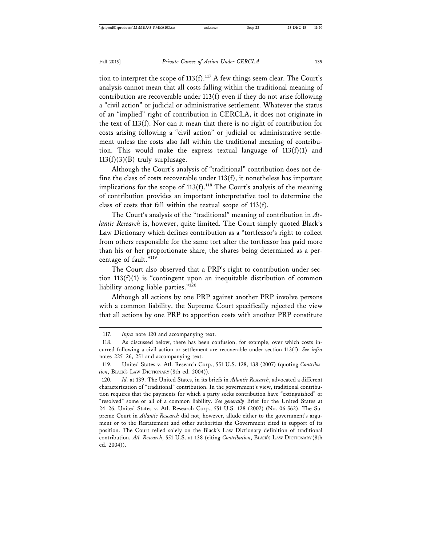tion to interpret the scope of  $113(f)$ .<sup>117</sup> A few things seem clear. The Court's analysis cannot mean that all costs falling within the traditional meaning of contribution are recoverable under 113(f) even if they do not arise following a "civil action" or judicial or administrative settlement. Whatever the status of an "implied" right of contribution in CERCLA, it does not originate in the text of 113(f). Nor can it mean that there is no right of contribution for costs arising following a "civil action" or judicial or administrative settlement unless the costs also fall within the traditional meaning of contribution. This would make the express textual language of  $113(f)(1)$  and  $113(f)(3)(B)$  truly surplusage.

Although the Court's analysis of "traditional" contribution does not define the class of costs recoverable under  $113(f)$ , it nonetheless has important implications for the scope of  $113(f)$ .<sup>118</sup> The Court's analysis of the meaning of contribution provides an important interpretative tool to determine the class of costs that fall within the textual scope of 113(f).

The Court's analysis of the "traditional" meaning of contribution in *Atlantic Research* is, however, quite limited. The Court simply quoted Black's Law Dictionary which defines contribution as a "tortfeasor's right to collect from others responsible for the same tort after the tortfeasor has paid more than his or her proportionate share, the shares being determined as a percentage of fault."119

The Court also observed that a PRP's right to contribution under section  $113(f)(1)$  is "contingent upon an inequitable distribution of common liability among liable parties."120

Although all actions by one PRP against another PRP involve persons with a common liability, the Supreme Court specifically rejected the view that all actions by one PRP to apportion costs with another PRP constitute

<sup>117.</sup> *Infra* note 120 and accompanying text.

<sup>118.</sup> As discussed below, there has been confusion, for example, over which costs incurred following a civil action or settlement are recoverable under section 113(f). *See infra* notes 225–26, 251 and accompanying text.

<sup>119.</sup> United States v. Atl. Research Corp., 551 U.S. 128, 138 (2007) (quoting *Contribution*, BLACK'S LAW DICTIONARY (8th ed. 2004)).

<sup>120.</sup> *Id.* at 139. The United States, in its briefs in *Atlantic Research*, advocated a different characterization of "traditional" contribution. In the government's view, traditional contribution requires that the payments for which a party seeks contribution have "extinguished" or "resolved" some or all of a common liability. *See generally* Brief for the United States at 24–26, United States v. Atl. Research Corp., 551 U.S. 128 (2007) (No. 06-562). The Supreme Court in *Atlantic Research* did not, however, allude either to the government's argument or to the Restatement and other authorities the Government cited in support of its position. The Court relied solely on the Black's Law Dictionary definition of traditional contribution. *Atl. Research*, 551 U.S. at 138 (citing *Contribution*, BLACK'S LAW DICTIONARY (8th ed. 2004)).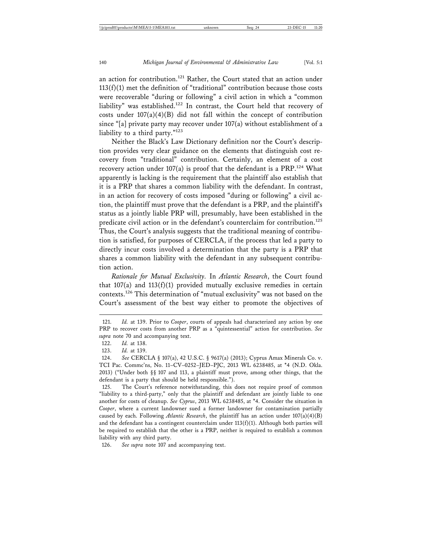an action for contribution.<sup>121</sup> Rather, the Court stated that an action under  $113(f)(1)$  met the definition of "traditional" contribution because those costs were recoverable "during or following" a civil action in which a "common liability" was established.122 In contrast, the Court held that recovery of costs under  $107(a)(4)(B)$  did not fall within the concept of contribution

since "[a] private party may recover under 107(a) without establishment of a liability to a third party."<sup>123</sup> Neither the Black's Law Dictionary definition nor the Court's description provides very clear guidance on the elements that distinguish cost recovery from "traditional" contribution. Certainly, an element of a cost

recovery action under  $107(a)$  is proof that the defendant is a PRP.<sup>124</sup> What apparently is lacking is the requirement that the plaintiff also establish that it is a PRP that shares a common liability with the defendant. In contrast, in an action for recovery of costs imposed "during or following" a civil action, the plaintiff must prove that the defendant is a PRP, and the plaintiff's status as a jointly liable PRP will, presumably, have been established in the predicate civil action or in the defendant's counterclaim for contribution.<sup>125</sup> Thus, the Court's analysis suggests that the traditional meaning of contribution is satisfied, for purposes of CERCLA, if the process that led a party to directly incur costs involved a determination that the party is a PRP that shares a common liability with the defendant in any subsequent contribution action.

*Rationale for Mutual Exclusivity.* In *Atlantic Research*, the Court found that  $107(a)$  and  $113(f)(1)$  provided mutually exclusive remedies in certain contexts.126 This determination of "mutual exclusivity" was not based on the Court's assessment of the best way either to promote the objectives of

126. *See supra* note 107 and accompanying text.

<sup>121.</sup> *Id.* at 139. Prior to *Cooper*, courts of appeals had characterized any action by one PRP to recover costs from another PRP as a "quintessential" action for contribution. *See supra* note 70 and accompanying text.

<sup>122.</sup> *Id.* at 138.

<sup>123.</sup> *Id.* at 139.

<sup>124.</sup> *See* CERCLA § 107(a), 42 U.S.C. § 9617(a) (2013); Cyprus Amax Minerals Co. v. TCI Pac. Commc'ns, No. 11–CV–0252–JED–PJC, 2013 WL 6238485, at \*4 (N.D. Okla. 2013) ("Under both  $\S$  107 and 113, a plaintiff must prove, among other things, that the defendant is a party that should be held responsible.").

<sup>125.</sup> The Court's reference notwithstanding, this does not require proof of common "liability to a third-party," only that the plaintiff and defendant are jointly liable to one another for costs of cleanup. *See Cyprus*, 2013 WL 6238485, at \*4. Consider the situation in *Cooper*, where a current landowner sued a former landowner for contamination partially caused by each. Following *Atlantic Research*, the plaintiff has an action under  $107(a)(4)(B)$ and the defendant has a contingent counterclaim under  $113(f)(1)$ . Although both parties will be required to establish that the other is a PRP, neither is required to establish a common liability with any third party.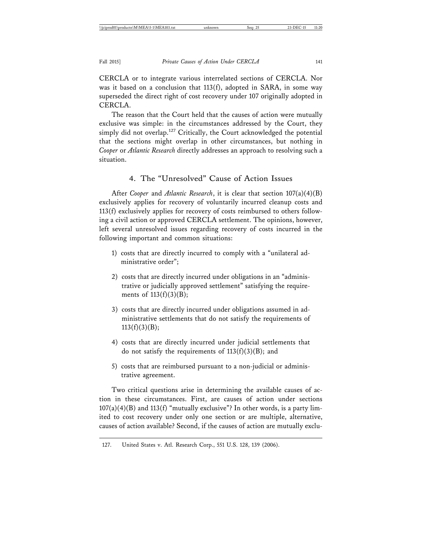CERCLA or to integrate various interrelated sections of CERCLA. Nor was it based on a conclusion that 113(f), adopted in SARA, in some way superseded the direct right of cost recovery under 107 originally adopted in CERCLA.

The reason that the Court held that the causes of action were mutually exclusive was simple: in the circumstances addressed by the Court, they simply did not overlap.<sup>127</sup> Critically, the Court acknowledged the potential that the sections might overlap in other circumstances, but nothing in *Cooper* or *Atlantic Research* directly addresses an approach to resolving such a situation.

#### 4. The "Unresolved" Cause of Action Issues

After *Cooper* and *Atlantic Research*, it is clear that section 107(a)(4)(B) exclusively applies for recovery of voluntarily incurred cleanup costs and 113(f) exclusively applies for recovery of costs reimbursed to others following a civil action or approved CERCLA settlement. The opinions, however, left several unresolved issues regarding recovery of costs incurred in the following important and common situations:

- 1) costs that are directly incurred to comply with a "unilateral administrative order";
- 2) costs that are directly incurred under obligations in an "administrative or judicially approved settlement" satisfying the requirements of  $113(f)(3)(B)$ ;
- 3) costs that are directly incurred under obligations assumed in administrative settlements that do not satisfy the requirements of  $113(f)(3)(B);$
- 4) costs that are directly incurred under judicial settlements that do not satisfy the requirements of  $113(f)(3)(B)$ ; and
- 5) costs that are reimbursed pursuant to a non-judicial or administrative agreement.

Two critical questions arise in determining the available causes of action in these circumstances. First, are causes of action under sections  $107(a)(4)(B)$  and  $113(f)$  "mutually exclusive"? In other words, is a party limited to cost recovery under only one section or are multiple, alternative, causes of action available? Second, if the causes of action are mutually exclu-

<sup>127.</sup> United States v. Atl. Research Corp., 551 U.S. 128, 139 (2006).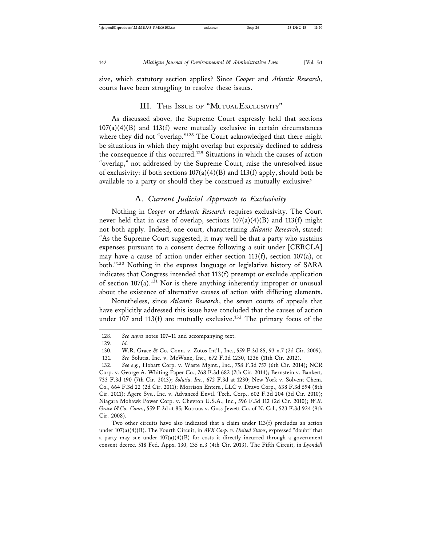sive, which statutory section applies? Since *Cooper* and *Atlantic Research*, courts have been struggling to resolve these issues.

#### III. THE ISSUE OF "MUTUAL EXCLUSIVITY"

As discussed above, the Supreme Court expressly held that sections  $107(a)(4)(B)$  and  $113(f)$  were mutually exclusive in certain circumstances where they did not "overlap."128 The Court acknowledged that there might be situations in which they might overlap but expressly declined to address the consequence if this occurred.129 Situations in which the causes of action "overlap," not addressed by the Supreme Court, raise the unresolved issue of exclusivity: if both sections  $107(a)(4)(B)$  and  $113(f)$  apply, should both be available to a party or should they be construed as mutually exclusive?

#### A. *Current Judicial Approach to Exclusivity*

Nothing in *Cooper* or *Atlantic Research* requires exclusivity. The Court never held that in case of overlap, sections  $107(a)(4)(B)$  and  $113(f)$  might not both apply. Indeed, one court, characterizing *Atlantic Research*, stated: "As the Supreme Court suggested, it may well be that a party who sustains expenses pursuant to a consent decree following a suit under [CERCLA] may have a cause of action under either section 113(f), section 107(a), or both."130 Nothing in the express language or legislative history of SARA indicates that Congress intended that 113(f) preempt or exclude application of section  $107(a)$ .<sup>131</sup> Nor is there anything inherently improper or unusual about the existence of alternative causes of action with differing elements.

Nonetheless, since *Atlantic Research*, the seven courts of appeals that have explicitly addressed this issue have concluded that the causes of action under 107 and 113(f) are mutually exclusive.<sup>132</sup> The primary focus of the

<sup>128.</sup> *See supra* notes 107–11 and accompanying text.

<sup>129.</sup> *Id.*

<sup>130.</sup> W.R. Grace & Co.-Conn. v. Zotos Int'l., Inc., 559 F.3d 85, 93 n.7 (2d Cir. 2009).

<sup>131.</sup> *See* Solutia, Inc. v. McWane, Inc., 672 F.3d 1230, 1236 (11th Cir. 2012).

<sup>132.</sup> *See e.g.*, Hobart Corp. v. Waste Mgmt., Inc., 758 F.3d 757 (6th Cir. 2014); NCR Corp. v. George A. Whiting Paper Co., 768 F.3d 682 (7th Cir. 2014); Bernstein v. Bankert, 733 F.3d 190 (7th Cir. 2013); *Solutia, Inc.*, 672 F.3d at 1230; New York v. Solvent Chem. Co., 664 F.3d 22 (2d Cir. 2011); Morrison Enters., LLC v. Dravo Corp., 638 F.3d 594 (8th Cir. 2011); Agere Sys., Inc. v. Advanced Envtl. Tech. Corp., 602 F.3d 204 (3d Cir. 2010); Niagara Mohawk Power Corp. v. Chevron U.S.A., Inc., 596 F.3d 112 (2d Cir. 2010); *W.R. Grace & Co.-Conn.*, 559 F.3d at 85; Kotrous v. Goss-Jewett Co. of N. Cal., 523 F.3d 924 (9th Cir. 2008).

Two other circuits have also indicated that a claim under 113(f) precludes an action under 107(a)(4)(B). The Fourth Circuit, in *AVX Corp. v. United States*, expressed "doubt" that a party may sue under  $107(a)(4)(B)$  for costs it directly incurred through a government consent decree. 518 Fed. Appx. 130, 135 n.3 (4th Cir. 2013). The Fifth Circuit, in *Lyondell*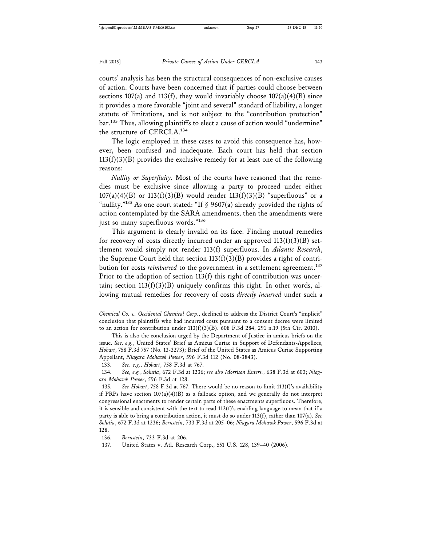courts' analysis has been the structural consequences of non-exclusive causes of action. Courts have been concerned that if parties could choose between sections  $107(a)$  and  $113(f)$ , they would invariably choose  $107(a)(4)(B)$  since it provides a more favorable "joint and several" standard of liability, a longer statute of limitations, and is not subject to the "contribution protection" bar.133 Thus, allowing plaintiffs to elect a cause of action would "undermine" the structure of CERCLA.<sup>134</sup>

The logic employed in these cases to avoid this consequence has, however, been confused and inadequate. Each court has held that section  $113(f)(3)(B)$  provides the exclusive remedy for at least one of the following reasons:

*Nullity or Superfluity.* Most of the courts have reasoned that the remedies must be exclusive since allowing a party to proceed under either  $107(a)(4)(B)$  or  $113(f)(3)(B)$  would render  $113(f)(3)(B)$  "superfluous" or a "nullity."<sup>135</sup> As one court stated: "If  $\S$  9607(a) already provided the rights of action contemplated by the SARA amendments, then the amendments were just so many superfluous words."136

This argument is clearly invalid on its face. Finding mutual remedies for recovery of costs directly incurred under an approved  $113(f)(3)(B)$  settlement would simply not render 113(f) superfluous. In *Atlantic Research*, the Supreme Court held that section  $113(f)(3)(B)$  provides a right of contribution for costs *reimbursed* to the government in a settlement agreement.<sup>137</sup> Prior to the adoption of section 113(f) this right of contribution was uncertain; section  $113(f)(3)(B)$  uniquely confirms this right. In other words, allowing mutual remedies for recovery of costs *directly incurred* under such a

133. *See, e.g.*, *Hobart*, 758 F.3d at 767.

136. *Bernstein*, 733 F.3d at 206.

137. United States v. Atl. Research Corp., 551 U.S. 128, 139–40 (2006).

*Chemical Co. v. Occidental Chemical Corp*., declined to address the District Court's "implicit" conclusion that plaintiffs who had incurred costs pursuant to a consent decree were limited to an action for contribution under  $113(f)(3)(B)$ . 608 F.3d 284, 291 n.19 (5th Cir. 2010).

This is also the conclusion urged by the Department of Justice in amicus briefs on the issue. *See, e.g.*, United States' Brief as Amicus Curiae in Support of Defendants-Appellees, *Hobart*, 758 F.3d 757 (No. 13-3273); Brief of the United States as Amicus Curiae Supporting Appellant, *Niagara Mohawk Power*, 596 F.3d 112 (No. 08-3843).

<sup>134.</sup> *See, e.g.*, *Solutia*, 672 F.3d at 1236; *see also Morrison Enters.*, 638 F.3d at 603; *Niagara Mohawk Power*, 596 F.3d at 128.

<sup>135.</sup> *See Hobart*, 758 F.3d at 767. There would be no reason to limit 113(f)'s availability if PRPs have section  $107(a)(4)(B)$  as a fallback option, and we generally do not interpret congressional enactments to render certain parts of these enactments superfluous. Therefore, it is sensible and consistent with the text to read  $113(f)'$ s enabling language to mean that if a party is able to bring a contribution action, it must do so under 113(f), rather than 107(a). *See Solutia*, 672 F.3d at 1236; *Bernstein*, 733 F.3d at 205–06; *Niagara Mohawk Power*, 596 F.3d at 128.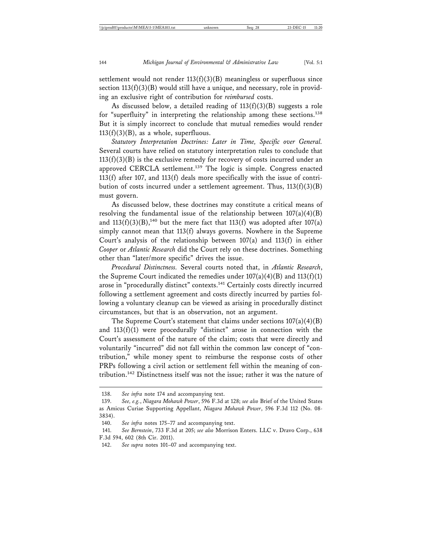settlement would not render  $113(f)(3)(B)$  meaningless or superfluous since section  $113(f)(3)(B)$  would still have a unique, and necessary, role in providing an exclusive right of contribution for *reimbursed* costs.

As discussed below, a detailed reading of  $113(f)(3)(B)$  suggests a role for "superfluity" in interpreting the relationship among these sections.<sup>138</sup> But it is simply incorrect to conclude that mutual remedies would render  $113(f)(3)(B)$ , as a whole, superfluous.

*Statutory Interpretation Doctrines: Later in Time, Specific over General.* Several courts have relied on statutory interpretation rules to conclude that  $113(f)(3)(B)$  is the exclusive remedy for recovery of costs incurred under an approved CERCLA settlement.<sup>139</sup> The logic is simple. Congress enacted 113(f) after 107, and 113(f) deals more specifically with the issue of contribution of costs incurred under a settlement agreement. Thus,  $113(f)(3)(B)$ must govern.

As discussed below, these doctrines may constitute a critical means of resolving the fundamental issue of the relationship between  $107(a)(4)(B)$ and  $113(f)(3)(B)$ ,<sup>140</sup> but the mere fact that  $113(f)$  was adopted after  $107(a)$ simply cannot mean that 113(f) always governs. Nowhere in the Supreme Court's analysis of the relationship between 107(a) and 113(f) in either *Cooper* or *Atlantic Research* did the Court rely on these doctrines. Something other than "later/more specific" drives the issue.

*Procedural Distinctness.* Several courts noted that, in *Atlantic Research*, the Supreme Court indicated the remedies under  $107(a)(4)(B)$  and  $113(f)(1)$ arose in "procedurally distinct" contexts.<sup>141</sup> Certainly costs directly incurred following a settlement agreement and costs directly incurred by parties following a voluntary cleanup can be viewed as arising in procedurally distinct circumstances, but that is an observation, not an argument.

The Supreme Court's statement that claims under sections  $107(a)(4)(B)$ and  $113(f)(1)$  were procedurally "distinct" arose in connection with the Court's assessment of the nature of the claim; costs that were directly and voluntarily "incurred" did not fall within the common law concept of "contribution," while money spent to reimburse the response costs of other PRPs following a civil action or settlement fell within the meaning of contribution.142 Distinctness itself was not the issue; rather it was the nature of

<sup>138.</sup> *See infra* note 174 and accompanying text.

<sup>139.</sup> *See, e.g.*, *Niagara Mohawk Power*, 596 F.3d at 128; *see also* Brief of the United States as Amicus Curiae Supporting Appellant, *Niagara Mohawk Power*, 596 F.3d 112 (No. 08- 3834).

<sup>140.</sup> *See infra* notes 175–77 and accompanying text.

<sup>141.</sup> *See Bernstein*, 733 F.3d at 205; *see also* Morrison Enters. LLC v. Dravo Corp., 638 F.3d 594, 602 (8th Cir. 2011).

<sup>142.</sup> *See supra* notes 101–07 and accompanying text.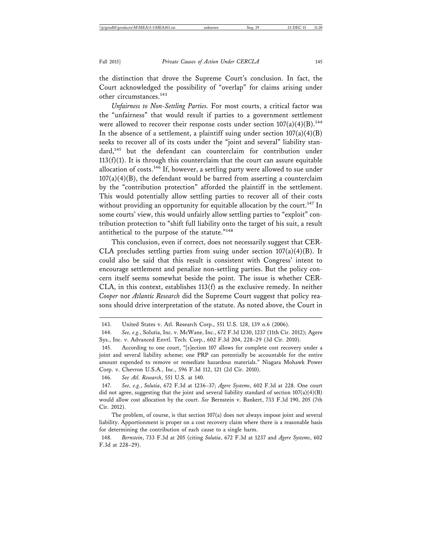the distinction that drove the Supreme Court's conclusion. In fact, the Court acknowledged the possibility of "overlap" for claims arising under other circumstances.<sup>143</sup>

*Unfairness to Non-Settling Parties.* For most courts, a critical factor was the "unfairness" that would result if parties to a government settlement were allowed to recover their response costs under section  $107(a)(4)(B)$ .<sup>144</sup> In the absence of a settlement, a plaintiff suing under section  $107(a)(4)(B)$ seeks to recover all of its costs under the "joint and several" liability standard,<sup>145</sup> but the defendant can counterclaim for contribution under  $113(f)(1)$ . It is through this counterclaim that the court can assure equitable allocation of costs.<sup>146</sup> If, however, a settling party were allowed to sue under  $107(a)(4)(B)$ , the defendant would be barred from asserting a counterclaim by the "contribution protection" afforded the plaintiff in the settlement. This would potentially allow settling parties to recover all of their costs without providing an opportunity for equitable allocation by the court.<sup>147</sup> In some courts' view, this would unfairly allow settling parties to "exploit" contribution protection to "shift full liability onto the target of his suit, a result antithetical to the purpose of the statute."<sup>148</sup>

This conclusion, even if correct, does not necessarily suggest that CER-CLA precludes settling parties from suing under section  $107(a)(4)(B)$ . It could also be said that this result is consistent with Congress' intent to encourage settlement and penalize non-settling parties. But the policy concern itself seems somewhat beside the point. The issue is whether CER-CLA, in this context, establishes 113(f) as the exclusive remedy. In neither *Cooper* nor *Atlantic Research* did the Supreme Court suggest that policy reasons should drive interpretation of the statute. As noted above, the Court in

<sup>143.</sup> United States v. Atl. Research Corp., 551 U.S. 128, 139 n.6 (2006).

<sup>144.</sup> *See, e.g.*, Solutia, Inc. v. McWane, Inc., 672 F.3d 1230, 1237 (11th Cir. 2012); Agere Sys., Inc. v. Advanced Envtl. Tech. Corp., 602 F.3d 204, 228–29 (3d Cir. 2010).

<sup>145.</sup> According to one court, "[s]ection 107 allows for complete cost recovery under a joint and several liability scheme; one PRP can potentially be accountable for the entire amount expended to remove or remediate hazardous materials." Niagara Mohawk Power Corp. v. Chevron U.S.A., Inc., 596 F.3d 112, 121 (2d Cir. 2010).

<sup>146.</sup> *See Atl. Research*, 551 U.S. at 140.

<sup>147.</sup> *See, e.g.*, *Solutia*, 672 F.3d at 1236–37; *Agere Systems*, 602 F.3d at 228. One court did not agree, suggesting that the joint and several liability standard of section  $107(a)(4)(B)$ would allow cost allocation by the court. *See* Bernstein v. Bankert, 733 F.3d 190, 205 (7th Cir. 2012).

The problem, of course, is that section 107(a) does not always impose joint and several liability. Apportionment is proper on a cost recovery claim where there is a reasonable basis for determining the contribution of each cause to a single harm.

<sup>148.</sup> *Bernstein*, 733 F.3d at 205 (citing *Solutia*, 672 F.3d at 1237 and *Agere Systems*, 602 F.3d at 228–29).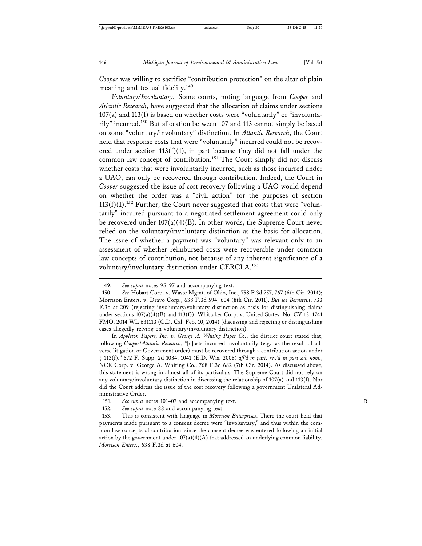*Cooper* was willing to sacrifice "contribution protection" on the altar of plain meaning and textual fidelity.<sup>149</sup>

*Voluntary/Involuntary.* Some courts, noting language from *Cooper* and *Atlantic Research*, have suggested that the allocation of claims under sections  $107(a)$  and  $113(f)$  is based on whether costs were "voluntarily" or "involuntarily" incurred.150 But allocation between 107 and 113 cannot simply be based on some "voluntary/involuntary" distinction. In *Atlantic Research*, the Court held that response costs that were "voluntarily" incurred could not be recovered under section  $113(f)(1)$ , in part because they did not fall under the common law concept of contribution.<sup>151</sup> The Court simply did not discuss whether costs that were involuntarily incurred, such as those incurred under a UAO, can only be recovered through contribution. Indeed, the Court in *Cooper* suggested the issue of cost recovery following a UAO would depend on whether the order was a "civil action" for the purposes of section  $113(f)(1).$ <sup>152</sup> Further, the Court never suggested that costs that were "voluntarily" incurred pursuant to a negotiated settlement agreement could only be recovered under  $107(a)(4)(B)$ . In other words, the Supreme Court never relied on the voluntary/involuntary distinction as the basis for allocation. The issue of whether a payment was "voluntary" was relevant only to an assessment of whether reimbursed costs were recoverable under common law concepts of contribution, not because of any inherent significance of a voluntary/involuntary distinction under CERCLA.<sup>153</sup>

In *Appleton Papers, Inc. v. George A. Whiting Paper Co.*, the district court stated that, following *Cooper*/*Atlantic Research*, "[c]osts incurred involuntarily (e.g., as the result of adverse litigation or Government order) must be recovered through a contribution action under § 113(f)." 572 F. Supp. 2d 1034, 1041 (E.D. Wis. 2008) *aff'd in part, rev'd in part sub nom.*, NCR Corp. v. George A. Whiting Co., 768 F.3d 682 (7th Cir. 2014). As discussed above, this statement is wrong in almost all of its particulars. The Supreme Court did not rely on any voluntary/involuntary distinction in discussing the relationship of 107(a) and 113(f). Nor did the Court address the issue of the cost recovery following a government Unilateral Administrative Order.

<sup>149.</sup> *See supra* notes 95–97 and accompanying text.

<sup>150.</sup> *See* Hobart Corp. v. Waste Mgmt. of Ohio, Inc., 758 F.3d 757, 767 (6th Cir. 2014); Morrison Enters. v. Dravo Corp., 638 F.3d 594, 604 (8th Cir. 2011). *But see Bernstein*, 733 F.3d at 209 (rejecting involuntary/voluntary distinction as basis for distinguishing claims under sections  $107(a)(4)(B)$  and  $113(f)$ ; Whittaker Corp. v. United States, No. CV 13-1741 FMO, 2014 WL 631113 (C.D. Cal. Feb. 10, 2014) (discussing and rejecting or distinguishing cases allegedly relying on voluntary/involuntary distinction).

<sup>151.</sup> *See supra* notes 101–07 and accompanying text. **R**

<sup>152.</sup> *See supra* note 88 and accompanying text.

<sup>153.</sup> This is consistent with language in *Morrison Enterprises*. There the court held that payments made pursuant to a consent decree were "involuntary," and thus within the common law concepts of contribution, since the consent decree was entered following an initial action by the government under  $107(a)(4)(A)$  that addressed an underlying common liability. *Morrison Enters.*, 638 F.3d at 604.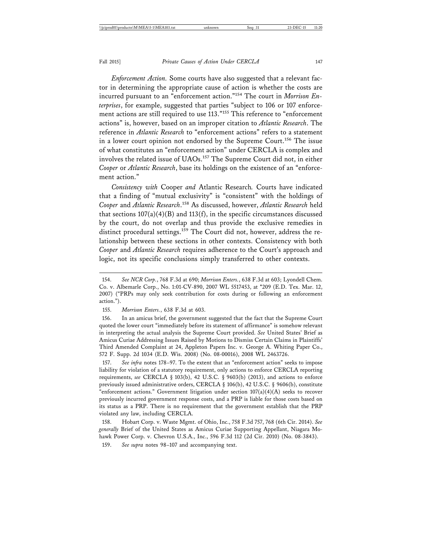*Enforcement Action.* Some courts have also suggested that a relevant factor in determining the appropriate cause of action is whether the costs are incurred pursuant to an "enforcement action."154 The court in *Morrison Enterprises*, for example, suggested that parties "subject to 106 or 107 enforcement actions are still required to use 113."<sup>155</sup> This reference to "enforcement" actions" is, however, based on an improper citation to *Atlantic Research*. The reference in *Atlantic Research* to "enforcement actions" refers to a statement in a lower court opinion not endorsed by the Supreme Court.<sup>156</sup> The issue of what constitutes an "enforcement action" under CERCLA is complex and involves the related issue of UAOs.<sup>157</sup> The Supreme Court did not, in either *Cooper* or *Atlantic Research*, base its holdings on the existence of an "enforcement action."

*Consistency with* Cooper *and* Atlantic Research*.* Courts have indicated that a finding of "mutual exclusivity" is "consistent" with the holdings of *Cooper* and *Atlantic Research*. 158 As discussed, however, *Atlantic Research* held that sections  $107(a)(4)(B)$  and  $113(f)$ , in the specific circumstances discussed by the court, do not overlap and thus provide the exclusive remedies in distinct procedural settings.<sup>159</sup> The Court did not, however, address the relationship between these sections in other contexts. Consistency with both *Cooper* and *Atlantic Research* requires adherence to the Court's approach and logic, not its specific conclusions simply transferred to other contexts.

156. In an amicus brief, the government suggested that the fact that the Supreme Court quoted the lower court "immediately before its statement of affirmance" is somehow relevant in interpreting the actual analysis the Supreme Court provided. *See* United States' Brief as Amicus Curiae Addressing Issues Raised by Motions to Dismiss Certain Claims in Plaintiffs' Third Amended Complaint at 24, Appleton Papers Inc. v. George A. Whiting Paper Co., 572 F. Supp. 2d 1034 (E.D. Wis. 2008) (No. 08-00016), 2008 WL 2463726.

157. *See infra* notes 178–97. To the extent that an "enforcement action" seeks to impose liability for violation of a statutory requirement, only actions to enforce CERCLA reporting requirements, *see* CERCLA § 103(b), 42 U.S.C. § 9603(b) (2013), and actions to enforce previously issued administrative orders, CERCLA  $\S$  106(b), 42 U.S.C.  $\S$  9606(b), constitute "enforcement actions." Government litigation under section  $107(a)(4)(A)$  seeks to recover previously incurred government response costs, and a PRP is liable for those costs based on its status as a PRP. There is no requirement that the government establish that the PRP violated any law, including CERCLA.

158. Hobart Corp. v. Waste Mgmt. of Ohio, Inc., 758 F.3d 757, 768 (6th Cir. 2014). *See generally* Brief of the United States as Amicus Curiae Supporting Appellant, Niagara Mohawk Power Corp. v. Chevron U.S.A., Inc., 596 F.3d 112 (2d Cir. 2010) (No. 08-3843).

159. *See supra* notes 98–107 and accompanying text.

<sup>154.</sup> *See NCR Corp.*, 768 F.3d at 690; *Morrison Enters.*, 638 F.3d at 603; Lyondell Chem. Co. v. Albemarle Corp., No. 1:01-CV-890, 2007 WL 5517453, at \*209 (E.D. Tex. Mar. 12, 2007) ("PRPs may only seek contribution for costs during or following an enforcement action.").

<sup>155.</sup> *Morrison Enters.*, 638 F.3d at 603.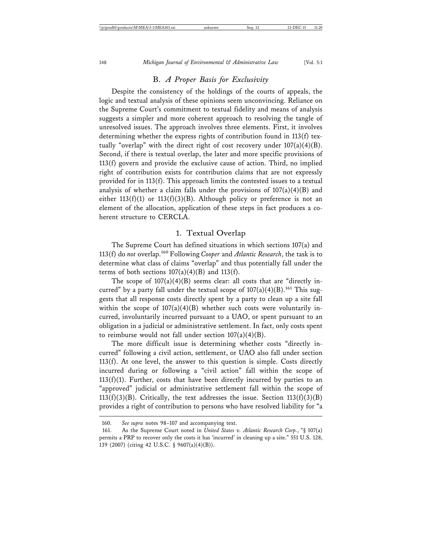#### B. *A Proper Basis for Exclusivity*

Despite the consistency of the holdings of the courts of appeals, the logic and textual analysis of these opinions seem unconvincing. Reliance on the Supreme Court's commitment to textual fidelity and means of analysis suggests a simpler and more coherent approach to resolving the tangle of unresolved issues. The approach involves three elements. First, it involves determining whether the express rights of contribution found in 113(f) textually "overlap" with the direct right of cost recovery under  $107(a)(4)(B)$ . Second, if there is textual overlap, the later and more specific provisions of 113(f) govern and provide the exclusive cause of action. Third, no implied right of contribution exists for contribution claims that are not expressly provided for in 113(f). This approach limits the contested issues to a textual analysis of whether a claim falls under the provisions of  $107(a)(4)(B)$  and either  $113(f)(1)$  or  $113(f)(3)(B)$ . Although policy or preference is not an element of the allocation, application of these steps in fact produces a coherent structure to CERCLA.

#### 1. Textual Overlap

The Supreme Court has defined situations in which sections 107(a) and 113(f) do *not* overlap.160 Following *Cooper* and *Atlantic Research*, the task is to determine what class of claims "overlap" and thus potentially fall under the terms of both sections  $107(a)(4)(B)$  and  $113(f)$ .

The scope of  $107(a)(4)(B)$  seems clear: all costs that are "directly incurred" by a party fall under the textual scope of  $107(a)(4)(B)$ .<sup>161</sup> This suggests that all response costs directly spent by a party to clean up a site fall within the scope of  $107(a)(4)(B)$  whether such costs were voluntarily incurred, involuntarily incurred pursuant to a UAO, or spent pursuant to an obligation in a judicial or administrative settlement. In fact, only costs spent to reimburse would not fall under section  $107(a)(4)(B)$ .

The more difficult issue is determining whether costs "directly incurred" following a civil action, settlement, or UAO also fall under section 113(f). At one level, the answer to this question is simple. Costs directly incurred during or following a "civil action" fall within the scope of  $113(f)(1)$ . Further, costs that have been directly incurred by parties to an "approved" judicial or administrative settlement fall within the scope of 113(f)(3)(B). Critically, the text addresses the issue. Section  $113(f)(3)(B)$ provides a right of contribution to persons who have resolved liability for "a

<sup>160.</sup> *See supra* notes 98–107 and accompanying text.

<sup>161.</sup> As the Supreme Court noted in *United States v. Atlantic Research Corp.*, "§ 107(a) permits a PRP to recover only the costs it has 'incurred' in cleaning up a site." 551 U.S. 128, 139 (2007) (citing 42 U.S.C. § 9607(a)(4)(B)).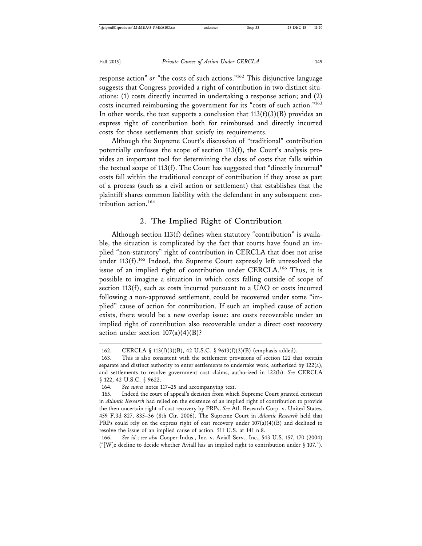response action" *or* "the costs of such actions."162 This disjunctive language suggests that Congress provided a right of contribution in two distinct situations: (1) costs directly incurred in undertaking a response action; and (2) costs incurred reimbursing the government for its "costs of such action."<sup>163</sup> In other words, the text supports a conclusion that  $113(f)(3)(B)$  provides an express right of contribution both for reimbursed and directly incurred costs for those settlements that satisfy its requirements.

Although the Supreme Court's discussion of "traditional" contribution potentially confuses the scope of section 113(f), the Court's analysis provides an important tool for determining the class of costs that falls within the textual scope of 113(f). The Court has suggested that "directly incurred" costs fall within the traditional concept of contribution if they arose as part of a process (such as a civil action or settlement) that establishes that the plaintiff shares common liability with the defendant in any subsequent contribution action.<sup>164</sup>

#### 2. The Implied Right of Contribution

Although section 113(f) defines when statutory "contribution" is available, the situation is complicated by the fact that courts have found an implied "non-statutory" right of contribution in CERCLA that does not arise under  $113(f).$ <sup>165</sup> Indeed, the Supreme Court expressly left unresolved the issue of an implied right of contribution under CERCLA.<sup>166</sup> Thus, it is possible to imagine a situation in which costs falling outside of scope of section 113(f), such as costs incurred pursuant to a UAO or costs incurred following a non-approved settlement, could be recovered under some "implied" cause of action for contribution. If such an implied cause of action exists, there would be a new overlap issue: are costs recoverable under an implied right of contribution also recoverable under a direct cost recovery action under section  $107(a)(4)(B)$ ?

166. *See id.*; *see also* Cooper Indus., Inc. v. Aviall Serv., Inc., 543 U.S. 157, 170 (2004) ("[W]e decline to decide whether Aviall has an implied right to contribution under  $\S$  107.").

<sup>162.</sup> CERCLA § 113(f)(3)(B), 42 U.S.C. § 9613(f)(3)(B) (emphasis added).

<sup>163.</sup> This is also consistent with the settlement provisions of section 122 that contain separate and distinct authority to enter settlements to undertake work, authorized by 122(a), and settlements to resolve government cost claims, authorized in 122(h). *See* CERCLA § 122, 42 U.S.C. § 9622.

<sup>164.</sup> *See supra* notes 117–25 and accompanying text.

<sup>165.</sup> Indeed the court of appeal's decision from which Supreme Court granted certiorari in *Atlantic Research* had relied on the existence of an implied right of contribution to provide the then uncertain right of cost recovery by PRPs. *See* Atl. Research Corp. v. United States, 459 F.3d 827, 835–36 (8th Cir. 2006). The Supreme Court in *Atlantic Research* held that PRPs could rely on the express right of cost recovery under  $107(a)(4)(B)$  and declined to resolve the issue of an implied cause of action. 511 U.S. at 141 n.8.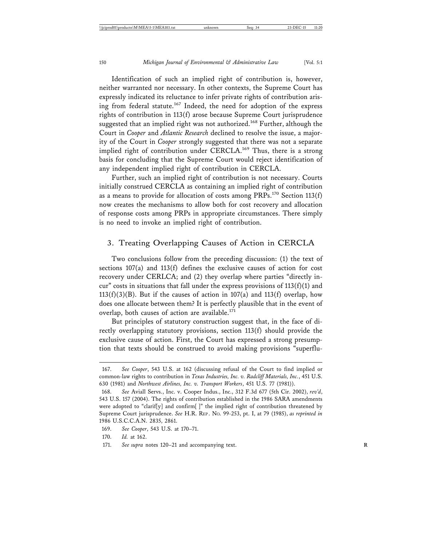Identification of such an implied right of contribution is, however, neither warranted nor necessary. In other contexts, the Supreme Court has expressly indicated its reluctance to infer private rights of contribution arising from federal statute.<sup>167</sup> Indeed, the need for adoption of the express rights of contribution in 113(f) arose because Supreme Court jurisprudence suggested that an implied right was not authorized.<sup>168</sup> Further, although the Court in *Cooper* and *Atlantic Research* declined to resolve the issue, a majority of the Court in *Cooper* strongly suggested that there was not a separate implied right of contribution under CERCLA.<sup>169</sup> Thus, there is a strong basis for concluding that the Supreme Court would reject identification of any independent implied right of contribution in CERCLA.

Further, such an implied right of contribution is not necessary. Courts initially construed CERCLA as containing an implied right of contribution as a means to provide for allocation of costs among PRPs.170 Section 113(f) now creates the mechanisms to allow both for cost recovery and allocation of response costs among PRPs in appropriate circumstances. There simply is no need to invoke an implied right of contribution.

#### 3. Treating Overlapping Causes of Action in CERCLA

Two conclusions follow from the preceding discussion: (1) the text of sections 107(a) and 113(f) defines the exclusive causes of action for cost recovery under CERLCA; and (2) they overlap where parties "directly incur" costs in situations that fall under the express provisions of  $113(f)(1)$  and  $113(f)(3)(B)$ . But if the causes of action in 107(a) and 113(f) overlap, how does one allocate between them? It is perfectly plausible that in the event of overlap, both causes of action are available.<sup>171</sup>

But principles of statutory construction suggest that, in the face of directly overlapping statutory provisions, section 113(f) should provide the exclusive cause of action. First, the Court has expressed a strong presumption that texts should be construed to avoid making provisions "superflu-

<sup>167.</sup> *See Cooper*, 543 U.S. at 162 (discussing refusal of the Court to find implied or common-law rights to contribution in *Texas Industries, Inc. v. Radcliff Materials, Inc.*, 451 U.S. 630 (1981) and *Northwest Airlines, Inc. v. Transport Workers*, 451 U.S. 77 (1981)).

<sup>168.</sup> *See* Aviall Servs., Inc. v. Cooper Indus., Inc., 312 F.3d 677 (5th Cir. 2002), *rev'd*, 543 U.S. 157 (2004). The rights of contribution established in the 1986 SARA amendments were adopted to "clarif[y] and confirm[ ]" the implied right of contribution threatened by Supreme Court jurisprudence. *See* H.R. REP . NO. 99-253, pt. I, at 79 (1985), *as reprinted in* 1986 U.S.C.C.A.N. 2835, 2861.

<sup>169.</sup> *See Cooper*, 543 U.S. at 170–71.

<sup>170.</sup> *Id.* at 162.

<sup>171.</sup> *See supra* notes 120–21 and accompanying text. **R**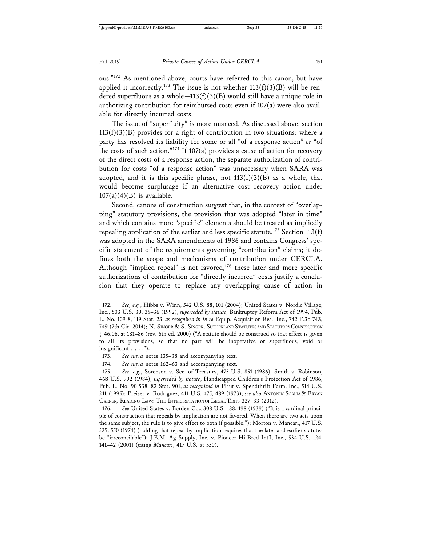ous."172 As mentioned above, courts have referred to this canon, but have applied it incorrectly.<sup>173</sup> The issue is not whether  $113(f)(3)(B)$  will be rendered superfluous as a whole—113(f)(3)(B) would still have a unique role in authorizing contribution for reimbursed costs even if 107(a) were also available for directly incurred costs.

The issue of "superfluity" is more nuanced. As discussed above, section  $113(f)(3)(B)$  provides for a right of contribution in two situations: where a party has resolved its liability for some or all "of a response action" *or* "of the costs of such action."<sup>174</sup> If 107(a) provides a cause of action for recovery of the direct costs of a response action, the separate authorization of contribution for costs "of a response action" was unnecessary when SARA was adopted, and it is this specific phrase, not  $113(f)(3)(B)$  as a whole, that would become surplusage if an alternative cost recovery action under  $107(a)(4)(B)$  is available.

Second, canons of construction suggest that, in the context of "overlapping" statutory provisions, the provision that was adopted "later in time" and which contains more "specific" elements should be treated as impliedly repealing application of the earlier and less specific statute.<sup>175</sup> Section 113(f) was adopted in the SARA amendments of 1986 and contains Congress' specific statement of the requirements governing "contribution" claims; it defines both the scope and mechanisms of contribution under CERCLA. Although "implied repeal" is not favored,<sup>176</sup> these later and more specific authorizations of contribution for "directly incurred" costs justify a conclusion that they operate to replace any overlapping cause of action in

<sup>172.</sup> *See, e.g.*, Hibbs v. Winn, 542 U.S. 88, 101 (2004); United States v. Nordic Village, Inc., 503 U.S. 30, 35–36 (1992), *superseded by statute*, Bankruptcy Reform Act of 1994, Pub. L. No. 109-8, 119 Stat. 23, *as recognized in In re* Equip. Acquisition Res., Inc., 742 F.3d 743, 749 (7th Cir. 2014); N. SINGER & S. SINGER, SUTHERLAND STATUTES AND STATUTORY CONSTRUCTION § 46.06, at 181–86 (rev. 6th ed. 2000) ("A statute should be construed so that effect is given to all its provisions, so that no part will be inoperative or superfluous, void or insignificant . . . .").

<sup>173.</sup> *See supra* notes 135–38 and accompanying text.

<sup>174.</sup> *See supra* notes 162–63 and accompanying text.

<sup>175.</sup> *See, e.g.*, Sorenson v. Sec. of Treasury, 475 U.S. 851 (1986); Smith v. Robinson, 468 U.S. 992 (1984), *superseded by statute*, Handicapped Children's Protection Act of 1986, Pub. L. No. 90-538, 82 Stat. 901, *as recognized in* Plaut v. Spendthrift Farm, Inc., 514 U.S. 211 (1995); Preiser v. Rodriguez, 411 U.S. 475, 489 (1973); *see also* ANTONIN SCALIA & BRYAN GARNER, READING LAW: THE INTERPRETATION OF LEGAL TEXTS 327-33 (2012).

<sup>176.</sup> *See* United States v. Borden Co., 308 U.S. 188, 198 (1939) ("It is a cardinal principle of construction that repeals by implication are not favored. When there are two acts upon the same subject, the rule is to give effect to both if possible."); Morton v. Mancari, 417 U.S. 535, 550 (1974) (holding that repeal by implication requires that the later and earlier statutes be "irreconcilable"); J.E.M. Ag Supply, Inc. v. Pioneer Hi-Bred Int'l, Inc., 534 U.S. 124, 141–42 (2001) (citing *Mancari*, 417 U.S. at 550).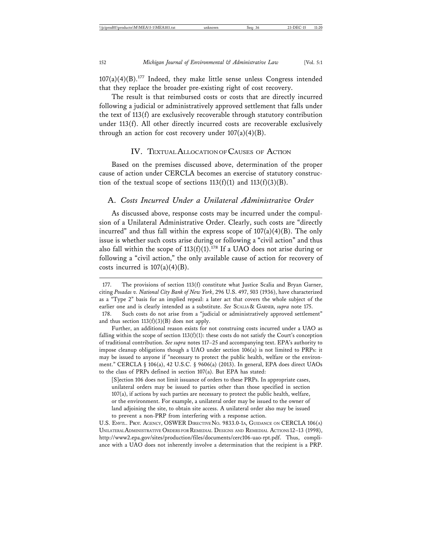$107(a)(4)(B)$ .<sup>177</sup> Indeed, they make little sense unless Congress intended that they replace the broader pre-existing right of cost recovery.

The result is that reimbursed costs or costs that are directly incurred following a judicial or administratively approved settlement that falls under the text of 113(f) are exclusively recoverable through statutory contribution under 113(f). All other directly incurred costs are recoverable exclusively through an action for cost recovery under  $107(a)(4)(B)$ .

#### IV. TEXTUAL ALLOCATION OF CAUSES OF ACTION

Based on the premises discussed above, determination of the proper cause of action under CERCLA becomes an exercise of statutory construction of the textual scope of sections  $113(f)(1)$  and  $113(f)(3)(B)$ .

#### A. *Costs Incurred Under a Unilateral Administrative Order*

As discussed above, response costs may be incurred under the compulsion of a Unilateral Administrative Order. Clearly, such costs are "directly incurred" and thus fall within the express scope of  $107(a)(4)(B)$ . The only issue is whether such costs arise during or following a "civil action" and thus also fall within the scope of  $113(f)(1)$ .<sup>178</sup> If a UAO does not arise during or following a "civil action," the only available cause of action for recovery of costs incurred is  $107(a)(4)(B)$ .

[S]ection 106 does not limit issuance of orders to these PRPs. In appropriate cases, unilateral orders may be issued to parties other than those specified in section 107(a), if actions by such parties are necessary to protect the public health, welfare, or the environment. For example, a unilateral order may be issued to the owner of land adjoining the site, to obtain site access. A unilateral order also may be issued to prevent a non-PRP from interfering with a response action.

U.S. ENVTL. PROT. AGENCY, OSWER DIRECTIVE NO. 9833.0-1A, GUIDANCE ON CERCLA 106(A) UNILATERAL ADMINISTRATIVE ORDERS FOR REMEDIAL DESIGNS AND REMEDIAL ACTIONS 12–13 (1998), http://www2.epa.gov/sites/production/files/documents/cerc106-uao-rpt.pdf. Thus, compliance with a UAO does not inherently involve a determination that the recipient is a PRP.

<sup>177.</sup> The provisions of section 113(f) constitute what Justice Scalia and Bryan Garner, citing *Posadas v. National City Bank of New York*, 296 U.S. 497, 503 (1936), have characterized as a "Type 2" basis for an implied repeal: a later act that covers the whole subject of the earlier one and is clearly intended as a substitute. *See* SCALIA & GARNER, *supra* note 175.

<sup>178.</sup> Such costs do not arise from a "judicial or administratively approved settlement" and thus section  $113(f)(3)(B)$  does not apply.

Further, an additional reason exists for not construing costs incurred under a UAO as falling within the scope of section  $113(f)(1)$ : these costs do not satisfy the Court's conception of traditional contribution. *See supra* notes 117–25 and accompanying text. EPA's authority to impose cleanup obligations though a UAO under section 106(a) is not limited to PRPs: it may be issued to anyone if "necessary to protect the public health, welfare or the environment." CERCLA § 106(a), 42 U.S.C. § 9606(a) (2013). In general, EPA does direct UAOs to the class of PRPs defined in section 107(a). But EPA has stated: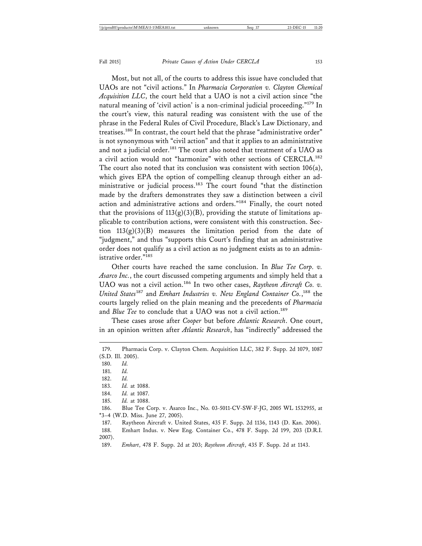Most, but not all, of the courts to address this issue have concluded that UAOs are not "civil actions." In *Pharmacia Corporation v. Clayton Chemical Acquisition LLC*, the court held that a UAO is not a civil action since "the natural meaning of 'civil action' is a non-criminal judicial proceeding."<sup>179</sup> In the court's view, this natural reading was consistent with the use of the phrase in the Federal Rules of Civil Procedure, Black's Law Dictionary, and treatises.180 In contrast, the court held that the phrase "administrative order" is not synonymous with "civil action" and that it applies to an administrative and not a judicial order.<sup>181</sup> The court also noted that treatment of a UAO as a civil action would not "harmonize" with other sections of CERCLA.182 The court also noted that its conclusion was consistent with section 106(a), which gives EPA the option of compelling cleanup through either an administrative or judicial process.<sup>183</sup> The court found "that the distinction made by the drafters demonstrates they saw a distinction between a civil action and administrative actions and orders."184 Finally, the court noted that the provisions of  $113(g)(3)(B)$ , providing the statute of limitations applicable to contribution actions, were consistent with this construction. Section  $113(g)(3)(B)$  measures the limitation period from the date of "judgment," and thus "supports this Court's finding that an administrative order does not qualify as a civil action as no judgment exists as to an administrative order."<sup>185</sup>

Other courts have reached the same conclusion. In *Blue Tee Corp. v. Asarco Inc.*, the court discussed competing arguments and simply held that a UAO was not a civil action.<sup>186</sup> In two other cases, Raytheon Aircraft Co. v. *United States*187 and *Emhart Industries v. New England Container Co.*, 188 the courts largely relied on the plain meaning and the precedents of *Pharmacia* and *Blue Tee* to conclude that a UAO was not a civil action.<sup>189</sup>

These cases arose after *Cooper* but before *Atlantic Research*. One court, in an opinion written after *Atlantic Research*, has "indirectly" addressed the

180. *Id.*

181. *Id.*

182. *Id.*

183. *Id.* at 1088.

- 184. *Id.* at 1087.
- 185. *Id.* at 1088.

186. Blue Tee Corp. v. Asarco Inc., No. 03-5011-CV-SW-F-JG, 2005 WL 1532955, at \*3–4 (W.D. Miss. June 27, 2005).

187. Raytheon Aircraft v. United States, 435 F. Supp. 2d 1136, 1143 (D. Kan. 2006).

188. Emhart Indus. v. New Eng. Container Co., 478 F. Supp. 2d 199, 203 (D.R.I. 2007).

<sup>179.</sup> Pharmacia Corp. v. Clayton Chem. Acquisition LLC, 382 F. Supp. 2d 1079, 1087 (S.D. Ill. 2005).

<sup>189.</sup> *Emhart*, 478 F. Supp. 2d at 203; *Raytheon Aircraft*, 435 F. Supp. 2d at 1143.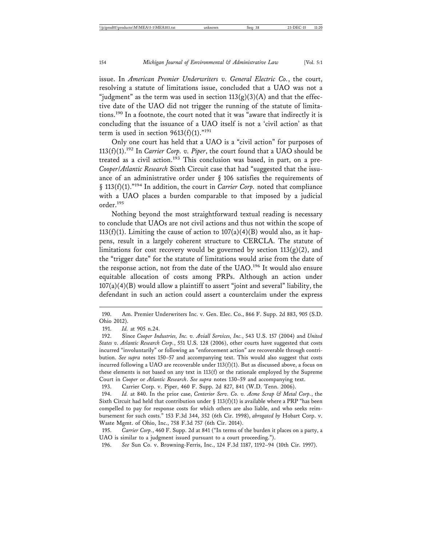issue. In *American Premier Underwriters v. General Electric Co.*, the court, resolving a statute of limitations issue, concluded that a UAO was not a "judgment" as the term was used in section  $113(g)(3)(A)$  and that the effective date of the UAO did not trigger the running of the statute of limitations.190 In a footnote, the court noted that it was "aware that indirectly it is concluding that the issuance of a UAO itself is not a 'civil action' as that term is used in section  $9613(f)(1)$ ."<sup>191</sup>

Only one court has held that a UAO is a "civil action" for purposes of 113(f)(1).192 In *Carrier Corp. v. Piper*, the court found that a UAO should be treated as a civil action.<sup>193</sup> This conclusion was based, in part, on a pre-*Cooper*/*Atlantic Research* Sixth Circuit case that had "suggested that the issuance of an administrative order under § 106 satisfies the requirements of § 113(f)(1)."194 In addition, the court in *Carrier Corp.* noted that compliance with a UAO places a burden comparable to that imposed by a judicial order.195

Nothing beyond the most straightforward textual reading is necessary to conclude that UAOs are not civil actions and thus not within the scope of 113(f)(1). Limiting the cause of action to  $107(a)(4)(B)$  would also, as it happens, result in a largely coherent structure to CERCLA. The statute of limitations for cost recovery would be governed by section  $113(g)(2)$ , and the "trigger date" for the statute of limitations would arise from the date of the response action, not from the date of the UAO.<sup>196</sup> It would also ensure equitable allocation of costs among PRPs. Although an action under  $107(a)(4)(B)$  would allow a plaintiff to assert "joint and several" liability, the defendant in such an action could assert a counterclaim under the express

<sup>190.</sup> Am. Premier Underwriters Inc. v. Gen. Elec. Co., 866 F. Supp. 2d 883, 905 (S.D. Ohio 2012).

<sup>191.</sup> *Id.* at 905 n.24.

<sup>192.</sup> Since *Cooper Industries, Inc. v. Aviall Services, Inc.*, 543 U.S. 157 (2004) and *United States v. Atlantic Research Corp.*, 551 U.S. 128 (2006), other courts have suggested that costs incurred "involuntarily" or following an "enforcement action" are recoverable through contribution. *See supra* notes 150–57 and accompanying text. This would also suggest that costs incurred following a UAO are recoverable under  $113(f)(1)$ . But as discussed above, a focus on these elements is not based on any text in 113(f) or the rationale employed by the Supreme Court in *Cooper* or *Atlantic Research*. *See supra* notes 130–59 and accompanying text.

<sup>193.</sup> Carrier Corp. v. Piper, 460 F. Supp. 2d 827, 841 (W.D. Tenn. 2006).

<sup>194.</sup> *Id.* at 840. In the prior case, *Centerior Serv. Co. v. Acme Scrap & Metal Corp.*, the Sixth Circuit had held that contribution under § 113(f)(1) is available where a PRP "has been compelled to pay for response costs for which others are also liable, and who seeks reimbursement for such costs." 153 F.3d 344, 352 (6th Cir. 1998), *abrogated by* Hobart Corp. v. Waste Mgmt. of Ohio, Inc., 758 F.3d 757 (6th Cir. 2014).

<sup>195.</sup> *Carrier Corp.*, 460 F. Supp. 2d at 841 ("In terms of the burden it places on a party, a UAO is similar to a judgment issued pursuant to a court proceeding.").

<sup>196.</sup> *See* Sun Co. v. Browning-Ferris, Inc., 124 F.3d 1187, 1192–94 (10th Cir. 1997).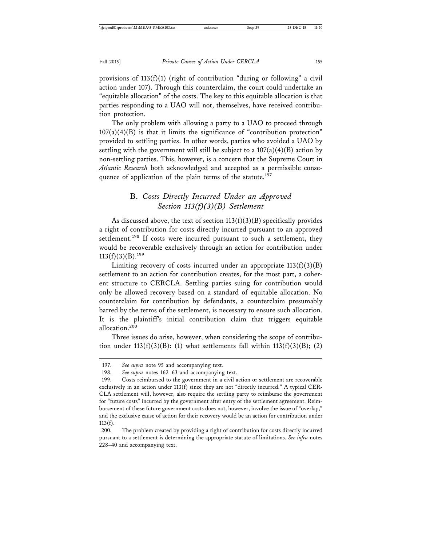provisions of  $113(f)(1)$  (right of contribution "during or following" a civil action under 107). Through this counterclaim, the court could undertake an "equitable allocation" of the costs. The key to this equitable allocation is that parties responding to a UAO will not, themselves, have received contribution protection.

The only problem with allowing a party to a UAO to proceed through  $107(a)(4)(B)$  is that it limits the significance of "contribution protection" provided to settling parties. In other words, parties who avoided a UAO by settling with the government will still be subject to a  $107(a)(4)(B)$  action by non-settling parties. This, however, is a concern that the Supreme Court in *Atlantic Research* both acknowledged and accepted as a permissible consequence of application of the plain terms of the statute.<sup>197</sup>

## B. *Costs Directly Incurred Under an Approved Section 113(f)(3)(B) Settlement*

As discussed above, the text of section  $113(f)(3)(B)$  specifically provides a right of contribution for costs directly incurred pursuant to an approved settlement.<sup>198</sup> If costs were incurred pursuant to such a settlement, they would be recoverable exclusively through an action for contribution under  $113(f)(3)(B).<sup>199</sup>$ 

Limiting recovery of costs incurred under an appropriate  $113(f)(3)(B)$ settlement to an action for contribution creates, for the most part, a coherent structure to CERCLA. Settling parties suing for contribution would only be allowed recovery based on a standard of equitable allocation. No counterclaim for contribution by defendants, a counterclaim presumably barred by the terms of the settlement, is necessary to ensure such allocation. It is the plaintiff's initial contribution claim that triggers equitable allocation.200

Three issues do arise, however, when considering the scope of contribution under 113(f)(3)(B): (1) what settlements fall within  $113(f)(3)(B)$ ; (2)

<sup>197.</sup> *See supra* note 95 and accompanying text.

<sup>198.</sup> *See supra* notes 162–63 and accompanying text.

<sup>199.</sup> Costs reimbursed to the government in a civil action or settlement are recoverable exclusively in an action under 113(f) since they are not "directly incurred." A typical CER-CLA settlement will, however, also require the settling party to reimburse the government for "future costs" incurred by the government after entry of the settlement agreement. Reimbursement of these future government costs does not, however, involve the issue of "overlap," and the exclusive cause of action for their recovery would be an action for contribution under  $113(f).$ 

<sup>200.</sup> The problem created by providing a right of contribution for costs directly incurred pursuant to a settlement is determining the appropriate statute of limitations. *See infra* notes 228–40 and accompanying text.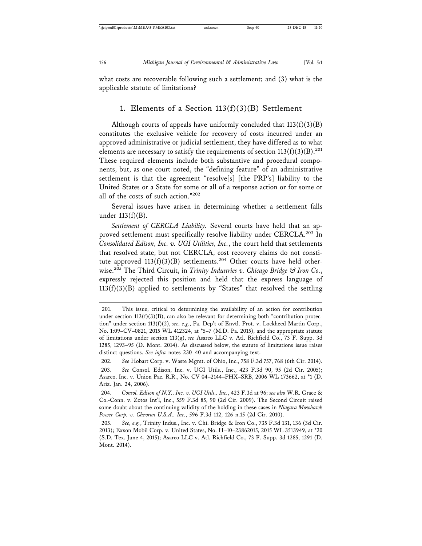what costs are recoverable following such a settlement; and (3) what is the applicable statute of limitations?

#### 1. Elements of a Section  $113(f)(3)(B)$  Settlement

Although courts of appeals have uniformly concluded that  $113(f)(3)(B)$ constitutes the exclusive vehicle for recovery of costs incurred under an approved administrative or judicial settlement, they have differed as to what elements are necessary to satisfy the requirements of section  $113(f)(3)(B)^{201}$ These required elements include both substantive and procedural components, but, as one court noted, the "defining feature" of an administrative settlement is that the agreement "resolve[s] [the PRP's] liability to the United States or a State for some or all of a response action or for some or all of the costs of such action."<sup>202</sup>

Several issues have arisen in determining whether a settlement falls under 113(f)(B).

*Settlement of CERCLA Liability.* Several courts have held that an approved settlement must specifically resolve liability under CERCLA.<sup>203</sup> In *Consolidated Edison, Inc. v. UGI Utilities, Inc.*, the court held that settlements that resolved state, but not CERCLA, cost recovery claims do not constitute approved  $113(f)(3)(B)$  settlements.<sup>204</sup> Other courts have held otherwise.205 The Third Circuit, in *Trinity Industries v. Chicago Bridge & Iron Co.*, expressly rejected this position and held that the express language of 113(f)(3)(B) applied to settlements by "States" that resolved the settling

<sup>201.</sup> This issue, critical to determining the availability of an action for contribution under section  $113(f)(3)(B)$ , can also be relevant for determining both "contribution protection" under section 113(f)(2), *see, e.g.*, Pa. Dep't of Envtl. Prot. v. Lockheed Martin Corp., No. 1:09–CV–0821, 2015 WL 412324, at \*5–7 (M.D. Pa. 2015), and the appropriate statute of limitations under section 113(g), *see* Asarco LLC v. Atl. Richfield Co., 73 F. Supp. 3d 1285, 1293–95 (D. Mont. 2014). As discussed below, the statute of limitations issue raises distinct questions. *See infra* notes 230–40 and accompanying text.

<sup>202.</sup> *See* Hobart Corp. v. Waste Mgmt. of Ohio, Inc., 758 F.3d 757, 768 (6th Cir. 2014). 203. *See* Consol. Edison, Inc. v. UGI Utils., Inc., 423 F.3d 90, 95 (2d Cir. 2005); Asarco, Inc. v. Union Pac. R.R., No. CV 04–2144–PHX–SRB, 2006 WL 173662, at \*1 (D. Ariz. Jan. 24, 2006).

<sup>204.</sup> *Consol. Edison of N.Y., Inc. v. UGI Utils., Inc.*, 423 F.3d at 96; *see also* W.R. Grace & Co.-Conn. v. Zotos Int'l, Inc., 559 F.3d 85, 90 (2d Cir. 2009). The Second Circuit raised some doubt about the continuing validity of the holding in these cases in *Niagara Mowhawk Power Corp. v. Chevron U.S.A., Inc.*, 596 F.3d 112, 126 n.15 (2d Cir. 2010).

<sup>205.</sup> *See, e.g.*, Trinity Indus., Inc. v. Chi. Bridge & Iron Co., 735 F.3d 131, 136 (3d Cir. 2013); Exxon Mobil Corp. v. United States, No. H–10–23862015, 2015 WL 3513949, at \*20 (S.D. Tex. June 4, 2015); Asarco LLC v. Atl. Richfield Co., 73 F. Supp. 3d 1285, 1291 (D. Mont. 2014).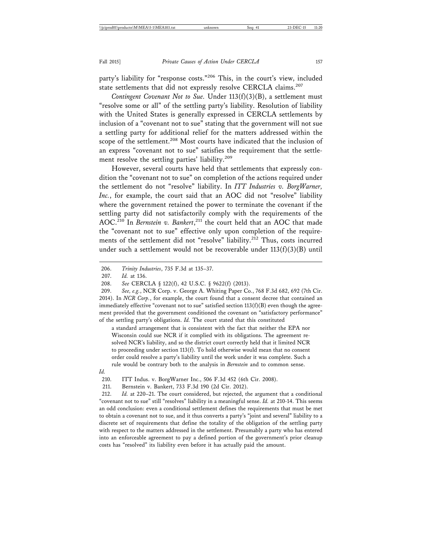party's liability for "response costs."206 This, in the court's view, included state settlements that did not expressly resolve CERCLA claims.<sup>207</sup>

*Contingent Covenant Not to Sue.* Under 113(f)(3)(B), a settlement must "resolve some or all" of the settling party's liability. Resolution of liability with the United States is generally expressed in CERCLA settlements by inclusion of a "covenant not to sue" stating that the government will not sue a settling party for additional relief for the matters addressed within the scope of the settlement.<sup>208</sup> Most courts have indicated that the inclusion of an express "covenant not to sue" satisfies the requirement that the settlement resolve the settling parties' liability.<sup>209</sup>

However, several courts have held that settlements that expressly condition the "covenant not to sue" on completion of the actions required under the settlement do not "resolve" liability. In *ITT Industries v. BorgWarner,* Inc., for example, the court said that an AOC did not "resolve" liability where the government retained the power to terminate the covenant if the settling party did not satisfactorily comply with the requirements of the AOC.210 In *Bernstein v. Bankert*, 211 the court held that an AOC that made the "covenant not to sue" effective only upon completion of the requirements of the settlement did not "resolve" liability.<sup>212</sup> Thus, costs incurred under such a settlement would not be recoverable under  $113(f)(3)(B)$  until

a standard arrangement that is consistent with the fact that neither the EPA nor Wisconsin could sue NCR if it complied with its obligations. The agreement resolved NCR's liability, and so the district court correctly held that it limited NCR to proceeding under section 113(f). To hold otherwise would mean that no consent order could resolve a party's liability until the work under it was complete. Such a rule would be contrary both to the analysis in *Bernstein* and to common sense.

*Id.*

210. ITT Indus. v. BorgWarner Inc., 506 F.3d 452 (6th Cir. 2008).

211. Bernstein v. Bankert, 733 F.3d 190 (2d Cir. 2012).

212. *Id.* at 220–21. The court considered, but rejected, the argument that a conditional "covenant not to sue" still "resolves" liability in a meaningful sense. *Id.* at 210-14. This seems an odd conclusion: even a conditional settlement defines the requirements that must be met to obtain a covenant not to sue, and it thus converts a party's "joint and several" liability to a discrete set of requirements that define the totality of the obligation of the settling party with respect to the matters addressed in the settlement. Presumably a party who has entered into an enforceable agreement to pay a defined portion of the government's prior cleanup costs has "resolved" its liability even before it has actually paid the amount.

<sup>206.</sup> *Trinity Industries*, 735 F.3d at 135–37.

<sup>207.</sup> *Id.* at 136.

<sup>208.</sup> *See* CERCLA § 122(f), 42 U.S.C. § 9622(f) (2013).

<sup>209.</sup> *See, e.g.*, NCR Corp. v. George A. Whiting Paper Co., 768 F.3d 682, 692 (7th Cir. 2014). In *NCR Corp.*, for example, the court found that a consent decree that contained an immediately effective "covenant not to sue" satisfied section  $113(f)(B)$  even though the agreement provided that the government conditioned the covenant on "satisfactory performance" of the settling party's obligations. *Id.* The court stated that this constituted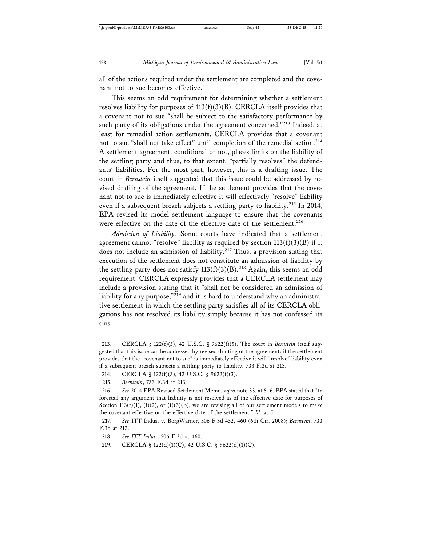all of the actions required under the settlement are completed and the covenant not to sue becomes effective.

This seems an odd requirement for determining whether a settlement resolves liability for purposes of 113(f)(3)(B). CERCLA itself provides that a covenant not to sue "shall be subject to the satisfactory performance by such party of its obligations under the agreement concerned."<sup>213</sup> Indeed, at least for remedial action settlements, CERCLA provides that a covenant not to sue "shall not take effect" until completion of the remedial action.<sup>214</sup> A settlement agreement, conditional or not, places limits on the liability of the settling party and thus, to that extent, "partially resolves" the defendants' liabilities. For the most part, however, this is a drafting issue. The court in *Bernstein* itself suggested that this issue could be addressed by revised drafting of the agreement. If the settlement provides that the covenant not to sue is immediately effective it will effectively "resolve" liability even if a subsequent breach subjects a settling party to liability.<sup>215</sup> In 2014, EPA revised its model settlement language to ensure that the covenants were effective on the date of the effective date of the settlement.<sup>216</sup>

*Admission of Liability.* Some courts have indicated that a settlement agreement cannot "resolve" liability as required by section  $113(f)(3)(B)$  if it does not include an admission of liability.<sup>217</sup> Thus, a provision stating that execution of the settlement does not constitute an admission of liability by the settling party does not satisfy  $113(f)(3)(B)$ .<sup>218</sup> Again, this seems an odd requirement. CERCLA expressly provides that a CERCLA settlement may include a provision stating that it "shall not be considered an admission of liability for any purpose," $^{219}$  and it is hard to understand why an administrative settlement in which the settling party satisfies all of its CERCLA obligations has not resolved its liability simply because it has not confessed its sins.

<sup>213.</sup> CERCLA § 122(f)(5), 42 U.S.C. § 9622(f)(5). The court in *Bernstein* itself suggested that this issue can be addressed by revised drafting of the agreement: if the settlement provides that the "covenant not to sue" is immediately effective it will "resolve" liability even if a subsequent breach subjects a settling party to liability. 733 F.3d at 213.

<sup>214.</sup> CERCLA § 122(f)(3), 42 U.S.C. § 9622(f)(3).

<sup>215.</sup> *Bernstein*, 733 F.3d at 213.

<sup>216.</sup> *See* 2014 EPA Revised Settlement Memo, *supra* note 33, at 5–6. EPA stated that "to forestall any argument that liability is not resolved as of the effective date for purposes of Section 113(f)(1), (f)(2), or (f)(3)(B), we are revising all of our settlement models to make the covenant effective on the effective date of the settlement." *Id.* at 5.

<sup>217.</sup> *See* ITT Indus. v. BorgWarner, 506 F.3d 452, 460 (6th Cir. 2008); *Bernstein*, 733 F.3d at 212.

<sup>218.</sup> *See ITT Indus.*, 506 F.3d at 460.

<sup>219.</sup> CERCLA § 122(d)(1)(C), 42 U.S.C. § 9622(d)(1)(C).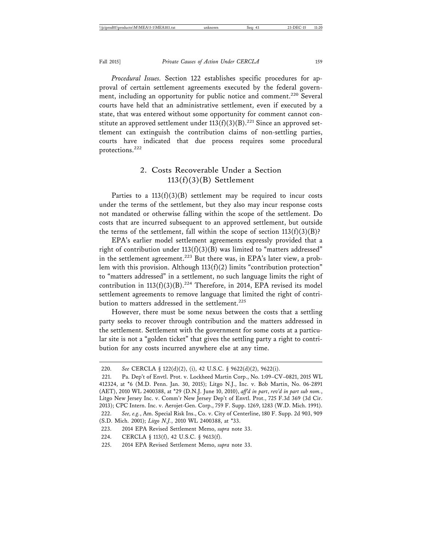Fall 2015] *Private Causes of Action Under CERCLA* 159

*Procedural Issues.* Section 122 establishes specific procedures for approval of certain settlement agreements executed by the federal government, including an opportunity for public notice and comment.<sup>220</sup> Several courts have held that an administrative settlement, even if executed by a state, that was entered without some opportunity for comment cannot constitute an approved settlement under  $113(f)(3)(B)$ .<sup>221</sup> Since an approved settlement can extinguish the contribution claims of non-settling parties, courts have indicated that due process requires some procedural protections.222

## 2. Costs Recoverable Under a Section 113(f)(3)(B) Settlement

Parties to a  $113(f)(3)(B)$  settlement may be required to incur costs under the terms of the settlement, but they also may incur response costs not mandated or otherwise falling within the scope of the settlement. Do costs that are incurred subsequent to an approved settlement, but outside the terms of the settlement, fall within the scope of section  $113(f)(3)(B)$ ?

EPA's earlier model settlement agreements expressly provided that a right of contribution under  $113(f)(3)(B)$  was limited to "matters addressed" in the settlement agreement.<sup>223</sup> But there was, in EPA's later view, a problem with this provision. Although 113(f)(2) limits "contribution protection" to "matters addressed" in a settlement, no such language limits the right of contribution in  $113(f)(3)(B)$ .<sup>224</sup> Therefore, in 2014, EPA revised its model settlement agreements to remove language that limited the right of contribution to matters addressed in the settlement.<sup>225</sup>

However, there must be some nexus between the costs that a settling party seeks to recover through contribution and the matters addressed in the settlement. Settlement with the government for some costs at a particular site is not a "golden ticket" that gives the settling party a right to contribution for any costs incurred anywhere else at any time.

<sup>220.</sup> *See* CERCLA § 122(d)(2), (i), 42 U.S.C. § 9622(d)(2), 9622(i).

<sup>221.</sup> Pa. Dep't of Envtl. Prot. v. Lockheed Martin Corp., No. 1:09–CV–0821, 2015 WL 412324, at \*6 (M.D. Penn. Jan. 30, 2015); Litgo N.J., Inc. v. Bob Martin, No. 06-2891 (AET), 2010 WL 2400388, at \*29 (D.N.J. June 10, 2010), *aff'd in part*, *rev'd in part sub nom.*, Litgo New Jersey Inc. v. Comm'r New Jersey Dep't of Envtl. Prot., 725 F.3d 369 (3d Cir. 2013); CPC Intern. Inc. v. Aerojet-Gen. Corp., 759 F. Supp. 1269, 1283 (W.D. Mich. 1991). 222. *See, e.g.*, Am. Special Risk Ins., Co. v. City of Centerline, 180 F. Supp. 2d 903, 909 (S.D. Mich. 2001); *Litgo N.J.*, 2010 WL 2400388, at \*33.

<sup>223. 2014</sup> EPA Revised Settlement Memo, *supra* note 33.

<sup>224.</sup> CERCLA § 113(f), 42 U.S.C. § 9613(f).

<sup>225. 2014</sup> EPA Revised Settlement Memo, *supra* note 33.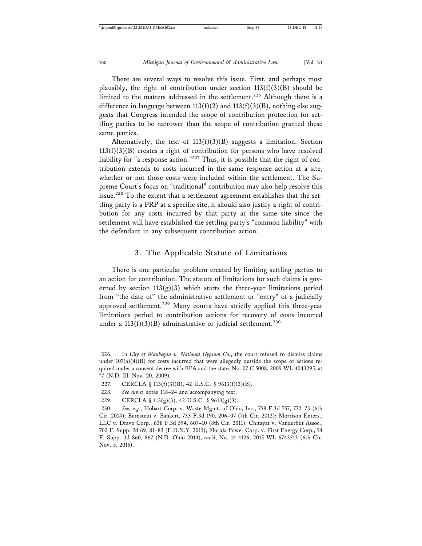There are several ways to resolve this issue. First, and perhaps most plausibly, the right of contribution under section  $113(f)(3)(B)$  should be limited to the matters addressed in the settlement.<sup>226</sup> Although there is a difference in language between 113(f)(2) and 113(f)(3)(B), nothing else suggests that Congress intended the scope of contribution protection for settling parties to be narrower than the scope of contribution granted these same parties.

Alternatively, the text of  $113(f)(3)(B)$  suggests a limitation. Section  $113(f)(3)(B)$  creates a right of contribution for persons who have resolved liability for "a response action."227 Thus, it is possible that the right of contribution extends to costs incurred in the same response action at a site, whether or not those costs were included within the settlement. The Supreme Court's focus on "traditional" contribution may also help resolve this issue.<sup>228</sup> To the extent that a settlement agreement establishes that the settling party is a PRP at a specific site, it should also justify a right of contribution for any costs incurred by that party at the same site since the settlement will have established the settling party's "common liability" with the defendant in any subsequent contribution action.

#### 3. The Applicable Statute of Limitations

There is one particular problem created by limiting settling parties to an action for contribution. The statute of limitations for such claims is governed by section  $113(g)(3)$  which starts the three-year limitations period from "the date of" the administrative settlement or "entry" of a judicially approved settlement.<sup>229</sup> Many courts have strictly applied this three-year limitations period to contribution actions for recovery of costs incurred under a  $113(f)(3)(B)$  administrative or judicial settlement.<sup>230</sup>

<sup>226.</sup> In *City of Waukegan v. National Gypsum Co.*, the court refused to dismiss claims under  $107(a)(4)(B)$  for costs incurred that were allegedly outside the scope of actions required under a consent decree with EPA and the state. No. 07 C 5008, 2009 WL 4043295, at \*7 (N.D. Ill. Nov. 20, 2009).

<sup>227.</sup> CERCLA § 113(f)(3)(B), 42 U.S.C. § 9613(f)(3)(B).

<sup>228.</sup> *See supra* notes 118–24 and accompanying text.

<sup>229.</sup> CERCLA § 113(g)(3), 42 U.S.C. § 9613(g)(3).

<sup>230.</sup> *See, e.g.*, Hobart Corp. v. Waste Mgmt. of Ohio, Inc., 758 F.3d 757, 772–73 (6th Cir. 2014); Bernstein v. Bankert, 733 F.3d 190, 206–07 (7th Cir. 2013); Morrison Enters., LLC v. Dravo Corp., 638 F.3d 594, 607–10 (8th Cir. 2011); Chitayat v. Vanderbilt Assoc., 702 F. Supp. 2d 69, 81–83 (E.D.N.Y. 2015); Florida Power Corp. v. First Energy Corp., 54 F. Supp. 3d 860, 867 (N.D. Ohio 2014), *rev'd*, No. 14-4126, 2015 WL 6743513 (6th Cir. Nov. 5, 2015).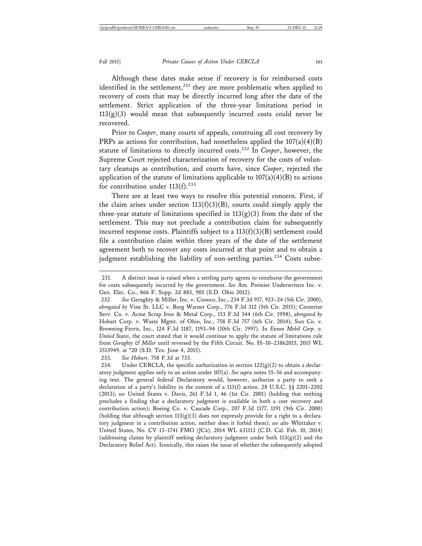Although these dates make sense if recovery is for reimbursed costs identified in the settlement,<sup>231</sup> they are more problematic when applied to recovery of costs that may be directly incurred long after the date of the settlement. Strict application of the three-year limitations period in  $113(g)(3)$  would mean that subsequently incurred costs could never be recovered.

Prior to *Cooper*, many courts of appeals, construing all cost recovery by PRPs as actions for contribution, had nonetheless applied the 107(a)(4)(B) statute of limitations to directly incurred costs.232 In *Cooper*, however, the Supreme Court rejected characterization of recovery for the costs of voluntary cleanups as contribution, and courts have, since *Cooper*, rejected the application of the statute of limitations applicable to  $107(a)(4)(B)$  to actions for contribution under  $113(f).^{233}$ 

There are at least two ways to resolve this potential concern. First, if the claim arises under section  $113(f)(3)(B)$ , courts could simply apply the three-year statute of limitations specified in  $113(g)(3)$  from the date of the settlement. This may not preclude a contribution claim for subsequently incurred response costs. Plaintiffs subject to a  $113(f)(3)(B)$  settlement could file a contribution claim within three years of the date of the settlement agreement both to recover any costs incurred at that point and to obtain a judgment establishing the liability of non-settling parties.<sup>234</sup> Costs subse-

233. *See Hobart*, 758 F.3d at 733.

<sup>231.</sup> A distinct issue is raised when a settling party agrees to reimburse the government for costs subsequently incurred by the government. *See* Am. Premier Underwriters Inc. v. Gen. Elec. Co., 866 F. Supp. 2d 883, 905 (S.D. Ohio 2012).

<sup>232.</sup> *See* Geraghty & Miller, Inc. v. Conoco, Inc., 234 F.3d 917, 923–24 (5th Cir. 2000), *abrogated by* Vine St. LLC v. Borg Warner Corp., 776 F.3d 312 (5th Cir. 2015); Centerior Serv. Co. v. Acme Scrap Iron & Metal Corp., 153 F.3d 344 (6th Cir. 1998), *abrogated by* Hobart Corp. v. Waste Mgmt. of Ohio, Inc., 758 F.3d 757 (6th Cir. 2014); Sun Co. v. Browning-Ferris, Inc., 124 F.3d 1187, 1193–94 (10th Cir. 1997). In *Exxon Mobil Corp. v. United States*, the court stated that it would continue to apply the statute of limitations rule from *Geraghty & Miller* until reversed by the Fifth Circuit. No. H–10–23862015, 2015 WL 3513949, at \*20 (S.D. Tex. June 4, 2015).

<sup>234.</sup> Under CERCLA, the specific authorization in section  $122(g)(2)$  to obtain a declaratory judgment applies only to an action under 107(a). *See supra* notes 55–56 and accompanying text. The general federal Declaratory would, however, authorize a party to seek a declaration of a party's liability in the context of a 113(f) action. 28 U.S.C. §§ 2201–2202 (2013); *see* United States v. Davis, 261 F.3d 1, 46 (1st Cir. 2001) (holding that nothing precludes a finding that a declaratory judgment is available in both a cost recovery and contribution action); Boeing Co. v. Cascade Corp., 207 F.3d 1177, 1191 (9th Cir. 2000) (holding that although section  $113(g)(3)$  does not expressly provide for a right to a declaratory judgment in a contribution action, neither does it forbid them); *see also* Whittaker v. United States, No. CV 13–1741 FMO (JCx), 2014 WL 631113 (C.D. Cal. Feb. 10, 2014) (addressing claims by plaintiff seeking declaratory judgment under both  $113(g)(2)$  and the Declaratory Relief Act). Ironically, this raises the issue of whether the subsequently adopted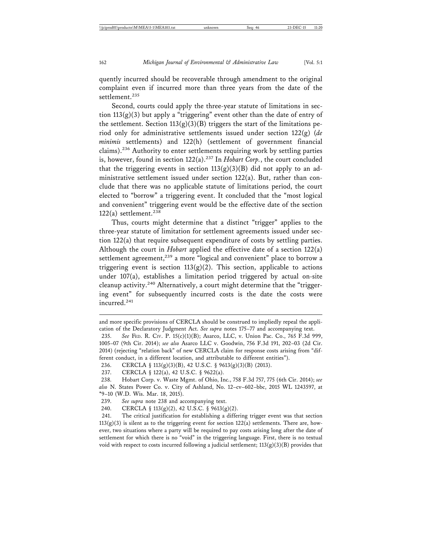quently incurred should be recoverable through amendment to the original complaint even if incurred more than three years from the date of the settlement.<sup>235</sup>

Second, courts could apply the three-year statute of limitations in section  $113(g)(3)$  but apply a "triggering" event other than the date of entry of the settlement. Section  $113(g)(3)(B)$  triggers the start of the limitations period only for administrative settlements issued under section 122(g) (*de minimis* settlements) and 122(h) (settlement of government financial claims).236 Authority to enter settlements requiring work by settling parties is, however, found in section 122(a).237 In *Hobart Corp.*, the court concluded that the triggering events in section  $113(g)(3)(B)$  did not apply to an administrative settlement issued under section 122(a). But, rather than conclude that there was no applicable statute of limitations period, the court elected to "borrow" a triggering event. It concluded that the "most logical and convenient" triggering event would be the effective date of the section 122(a) settlement.<sup>238</sup>

Thus, courts might determine that a distinct "trigger" applies to the three-year statute of limitation for settlement agreements issued under section 122(a) that require subsequent expenditure of costs by settling parties. Although the court in *Hobart* applied the effective date of a section 122(a) settlement agreement,<sup>239</sup> a more "logical and convenient" place to borrow a triggering event is section  $113(g)(2)$ . This section, applicable to actions under  $107(a)$ , establishes a limitation period triggered by actual on-site cleanup activity.<sup>240</sup> Alternatively, a court might determine that the "triggering event" for subsequently incurred costs is the date the costs were incurred.<sup>241</sup>

and more specific provisions of CERCLA should be construed to impliedly repeal the application of the Declaratory Judgment Act. *See supra* notes 175–77 and accompanying text.

<sup>235.</sup> *See* FED. R. CIV. P. 15(c)(1)(B); Asarco, LLC, v. Union Pac. Co., 765 F.3d 999, 1005–07 (9th Cir. 2014); *see also* Asarco LLC v. Goodwin, 756 F.3d 191, 202–03 (2d Cir. 2014) (rejecting "relation back" of new CERCLA claim for response costs arising from "different conduct, in a different location, and attributable to different entities").

<sup>236.</sup> CERCLA § 113(g)(3)(B), 42 U.S.C. § 9613(g)(3)(B) (2013).

<sup>237.</sup> CERCLA § 122(a), 42 U.S.C. § 9622(a).

<sup>238.</sup> Hobart Corp. v. Waste Mgmt. of Ohio, Inc., 758 F.3d 757, 775 (6th Cir. 2014); *see also* N. States Power Co. v. City of Ashland, No. 12–cv–602–bbc, 2015 WL 1243597, at \*9–10 (W.D. Wis. Mar. 18, 2015).

<sup>239.</sup> *See supra* note 238 and accompanying text.

<sup>240.</sup> CERCLA § 113(g)(2), 42 U.S.C. § 9613(g)(2).

<sup>241.</sup> The critical justification for establishing a differing trigger event was that section  $113(g)(3)$  is silent as to the triggering event for section 122(a) settlements. There are, however, two situations where a party will be required to pay costs arising long after the date of settlement for which there is no "void" in the triggering language. First, there is no textual void with respect to costs incurred following a judicial settlement; 113(g)(3)(B) provides that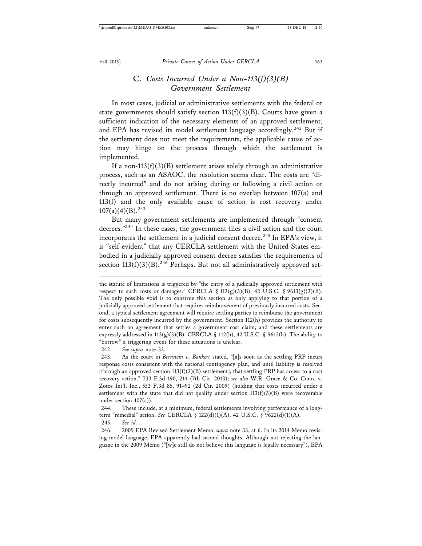## C. *Costs Incurred Under a Non-113(f)(3)(B) Government Settlement*

In most cases, judicial or administrative settlements with the federal or state governments should satisfy section  $113(f)(3)(B)$ . Courts have given a sufficient indication of the necessary elements of an approved settlement, and EPA has revised its model settlement language accordingly.<sup>242</sup> But if the settlement does not meet the requirements, the applicable cause of action may hinge on the process through which the settlement is implemented.

If a non-113(f)(3)(B) settlement arises solely through an administrative process, such as an ASAOC, the resolution seems clear. The costs are "directly incurred" and do not arising during or following a civil action or through an approved settlement. There is no overlap between 107(a) and 113(f) and the only available cause of action is cost recovery under  $107(a)(4)(B).^{243}$ 

But many government settlements are implemented through "consent decrees."244 In these cases, the government files a civil action and the court incorporates the settlement in a judicial consent decree.<sup>245</sup> In EPA's view, it is "self-evident" that any CERCLA settlement with the United States embodied in a judicially approved consent decree satisfies the requirements of section  $113(f)(3)(B)$ .<sup>246</sup> Perhaps. But not all administratively approved set-

242. *See supra* note 33.

243. As the court in *Bernstein v. Bankert* stated, "[a]s soon as the settling PRP incurs response costs consistent with the national contingency plan, and until liability is resolved [through an approved section  $113(f)(3)(B)$  settlement], that settling PRP has access to a cost recovery action." 733 F.3d 190, 214 (7th Cir. 2013); *see also* W.R. Grace & Co.-Conn. v. Zotos Int'l, Inc., 553 F.3d 85, 91–92 (2d Cir. 2009) (holding that costs incurred under a settlement with the state that did not qualify under section  $113(f)(3)(B)$  were recoverable under section 107(a)).

244. These include, at a minimum, federal settlements involving performance of a longterm "remedial" action. *See* CERCLA § 122(d)(1)(A), 42 U.S.C. § 9622(d)(1)(A). 245. *See id.*

246. 2009 EPA Revised Settlement Memo, *supra* note 33, at 6. In its 2014 Memo revising model language, EPA apparently had second thoughts. Although not rejecting the language in the 2009 Memo ("[w]e still do not believe this language is legally necessary"), EPA

the statute of limitations is triggered by "the entry of a judicially approved settlement with respect to such costs or damages." CERCLA §  $113(g)(3)(B)$ , 42 U.S.C. §  $9613(g)(3)(B)$ . The only possible void is to construe this section as only applying to that portion of a judicially approved settlement that requires reimbursement of previously incurred costs. Second, a typical settlement agreement will require settling parties to reimburse the government for costs subsequently incurred by the government. Section 112(h) provides the authority to enter such an agreement that settles a government cost claim, and these settlements are expressly addressed in 113(g)(3)(B). CERCLA § 112(h), 42 U.S.C. § 9612(h). The ability to "borrow" a triggering event for these situations is unclear.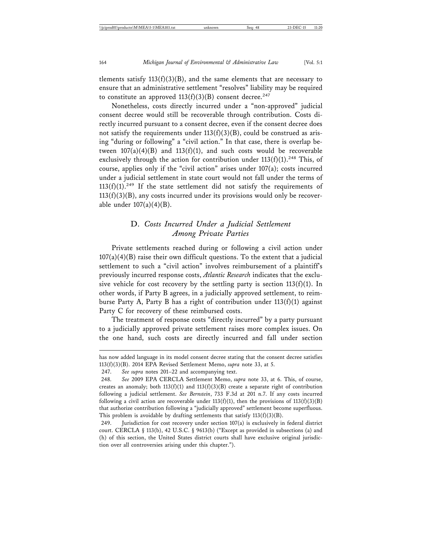tlements satisfy  $113(f)(3)(B)$ , and the same elements that are necessary to ensure that an administrative settlement "resolves" liability may be required to constitute an approved  $113(f)(3)(B)$  consent decree.<sup>247</sup>

Nonetheless, costs directly incurred under a "non-approved" judicial consent decree would still be recoverable through contribution. Costs directly incurred pursuant to a consent decree, even if the consent decree does not satisfy the requirements under  $113(f)(3)(B)$ , could be construed as arising "during or following" a "civil action." In that case, there is overlap between  $107(a)(4)(B)$  and  $113(f)(1)$ , and such costs would be recoverable exclusively through the action for contribution under  $113(f)(1)$ .<sup>248</sup> This, of course, applies only if the "civil action" arises under 107(a); costs incurred under a judicial settlement in state court would not fall under the terms of  $113(f)(1).^{249}$  If the state settlement did not satisfy the requirements of  $113(f)(3)(B)$ , any costs incurred under its provisions would only be recoverable under  $107(a)(4)(B)$ .

## D. *Costs Incurred Under a Judicial Settlement Among Private Parties*

Private settlements reached during or following a civil action under  $107(a)(4)(B)$  raise their own difficult questions. To the extent that a judicial settlement to such a "civil action" involves reimbursement of a plaintiff's previously incurred response costs, *Atlantic Research* indicates that the exclusive vehicle for cost recovery by the settling party is section  $113(f)(1)$ . In other words, if Party B agrees, in a judicially approved settlement, to reimburse Party A, Party B has a right of contribution under 113(f)(1) against Party C for recovery of these reimbursed costs.

The treatment of response costs "directly incurred" by a party pursuant to a judicially approved private settlement raises more complex issues. On the one hand, such costs are directly incurred and fall under section

has now added language in its model consent decree stating that the consent decree satisfies 113(f)(3)(B). 2014 EPA Revised Settlement Memo, *supra* note 33, at 5.

<sup>247.</sup> *See supra* notes 201–22 and accompanying text.

<sup>248.</sup> *See* 2009 EPA CERCLA Settlement Memo, *supra* note 33, at 6. This, of course, creates an anomaly; both  $113(f)(1)$  and  $113(f)(3)(B)$  create a separate right of contribution following a judicial settlement. *See Bernstein*, 733 F.3d at 201 n.7. If any costs incurred following a civil action are recoverable under  $113(f)(1)$ , then the provisions of  $113(f)(3)(B)$ that authorize contribution following a "judicially approved" settlement become superfluous. This problem is avoidable by drafting settlements that satisfy  $113(f)(3)(B)$ .

<sup>249.</sup> Jurisdiction for cost recovery under section 107(a) is exclusively in federal district court. CERCLA § 113(b), 42 U.S.C. § 9613(b) ("Except as provided in subsections (a) and (h) of this section, the United States district courts shall have exclusive original jurisdiction over all controversies arising under this chapter.").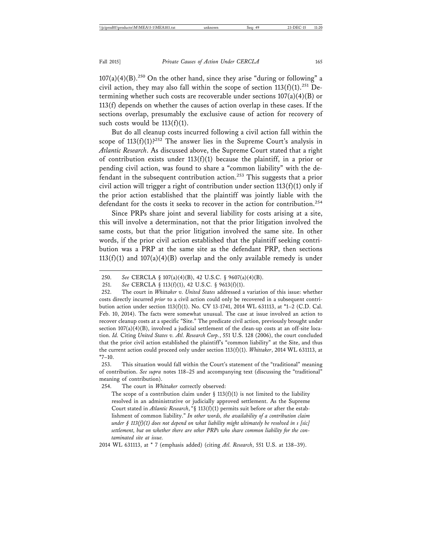$107(a)(4)(B)$ <sup>250</sup> On the other hand, since they arise "during or following" a civil action, they may also fall within the scope of section  $113(f)(1)$ .<sup>251</sup> Determining whether such costs are recoverable under sections  $107(a)(4)(B)$  or 113(f) depends on whether the causes of action overlap in these cases. If the sections overlap, presumably the exclusive cause of action for recovery of such costs would be  $113(f)(1)$ .

But do all cleanup costs incurred following a civil action fall within the scope of  $113(f)(1)$ ?<sup>252</sup> The answer lies in the Supreme Court's analysis in *Atlantic Research*. As discussed above, the Supreme Court stated that a right of contribution exists under  $113(f)(1)$  because the plaintiff, in a prior or pending civil action, was found to share a "common liability" with the defendant in the subsequent contribution action.253 This suggests that a prior civil action will trigger a right of contribution under section 113(f)(1) only if the prior action established that the plaintiff was jointly liable with the defendant for the costs it seeks to recover in the action for contribution.<sup>254</sup>

Since PRPs share joint and several liability for costs arising at a site, this will involve a determination, not that the prior litigation involved the same costs, but that the prior litigation involved the same site. In other words, if the prior civil action established that the plaintiff seeking contribution was a PRP at the same site as the defendant PRP, then sections  $113(f)(1)$  and  $107(a)(4)(B)$  overlap and the only available remedy is under

254. The court in *Whittaker* correctly observed:

The scope of a contribution claim under  $\S$  113(f)(1) is not limited to the liability resolved in an administrative or judicially approved settlement. As the Supreme Court stated in *Atlantic Research*, "§ 113(f)(1) permits suit before or after the establishment of common liability." *In other words, the availability of a contribution claim under § 113(f)(1) does not depend on what liability might ultimately be resolved in s [sic] settlement, but on whether there are other PRPs who share common liability for the contaminated site at issue.*

2014 WL 631113, at \* 7 (emphasis added) (citing *Atl. Research*, 551 U.S. at 138–39).

<sup>250.</sup> *See* CERCLA § 107(a)(4)(B), 42 U.S.C. § 9607(a)(4)(B).

<sup>251.</sup> *See* CERCLA § 113(f)(1), 42 U.S.C. § 9613(f)(1).

<sup>252.</sup> The court in *Whittaker v. United States* addressed a variation of this issue: whether costs directly incurred *prior* to a civil action could only be recovered in a subsequent contribution action under section 113(f)(1). No. CV 13-1741, 2014 WL 631113, at \*1–2 (C.D. Cal. Feb. 10, 2014). The facts were somewhat unusual. The case at issue involved an action to recover cleanup costs at a specific "Site." The predicate civil action, previously brought under section 107(a)(4)(B), involved a judicial settlement of the clean-up costs at an off-site location. *Id.* Citing *United States v. Atl. Research Corp.*, 551 U.S. 128 (2006), the court concluded that the prior civil action established the plaintiff's "common liability" at the Site, and thus the current action could proceed only under section 113(f)(1). *Whittaker*, 2014 WL 631113, at \*7–10.

<sup>253.</sup> This situation would fall within the Court's statement of the "traditional" meaning of contribution. *See supra* notes 118–25 and accompanying text (discussing the "traditional" meaning of contribution).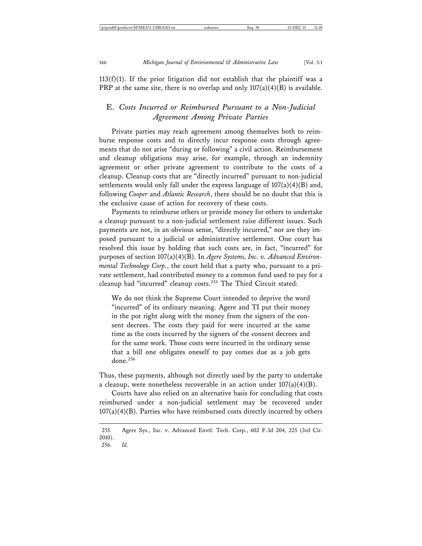$113(f)(1)$ . If the prior litigation did not establish that the plaintiff was a PRP at the same site, there is no overlap and only  $107(a)(4)(B)$  is available.

### E. *Costs Incurred or Reimbursed Pursuant to a Non-Judicial Agreement Among Private Parties*

Private parties may reach agreement among themselves both to reimburse response costs and to directly incur response costs through agreements that do not arise "during or following" a civil action. Reimbursement and cleanup obligations may arise, for example, through an indemnity agreement or other private agreement to contribute to the costs of a cleanup. Cleanup costs that are "directly incurred" pursuant to non-judicial settlements would only fall under the express language of  $107(a)(4)(B)$  and, following *Cooper* and *Atlantic Research*, there should be no doubt that this is the exclusive cause of action for recovery of these costs.

Payments to reimburse others or provide money for others to undertake a cleanup pursuant to a non-judicial settlement raise different issues. Such payments are not, in an obvious sense, "directly incurred," nor are they imposed pursuant to a judicial or administrative settlement. One court has resolved this issue by holding that such costs are, in fact, "incurred" for purposes of section 107(a)(4)(B). In *Agere Systems, Inc. v. Advanced Environmental Technology Corp.*, the court held that a party who, pursuant to a private settlement, had contributed money to a common fund used to pay for a cleanup had "incurred" cleanup costs.<sup>255</sup> The Third Circuit stated:

We do not think the Supreme Court intended to deprive the word "incurred" of its ordinary meaning. Agere and TI put their money in the pot right along with the money from the signers of the consent decrees. The costs they paid for were incurred at the same time as the costs incurred by the signers of the consent decrees and for the same work. Those costs were incurred in the ordinary sense that a bill one obligates oneself to pay comes due as a job gets done. $256$ 

Thus, these payments, although not directly used by the party to undertake a cleanup, were nonetheless recoverable in an action under  $107(a)(4)(B)$ .

Courts have also relied on an alternative basis for concluding that costs reimbursed under a non-judicial settlement may be recovered under  $107(a)(4)(B)$ . Parties who have reimbursed costs directly incurred by others

<sup>255.</sup> Agere Sys., Inc. v. Advanced Envtl. Tech. Corp., 602 F.3d 204, 225 (3rd Cir. 2010). 256. *Id.*